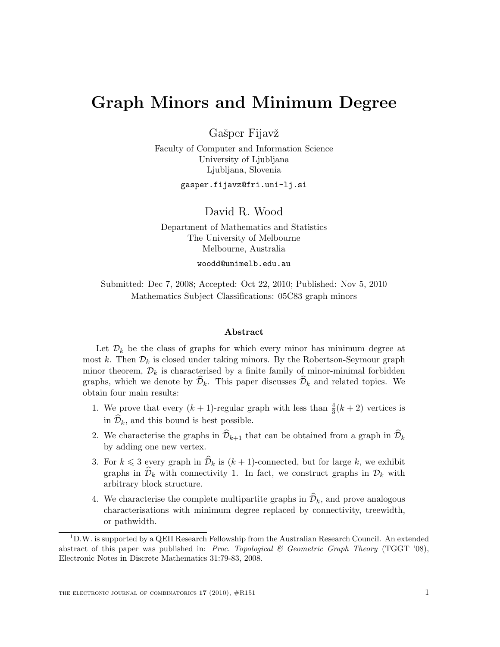# Graph Minors and Minimum Degree

Gašper Fijavž

Faculty of Computer and Information Science University of Ljubljana Ljubljana, Slovenia

gasper.fijavz@fri.uni-lj.si

David R. Wood

Department of Mathematics and Statistics The University of Melbourne Melbourne, Australia

woodd@unimelb.edu.au

Submitted: Dec 7, 2008; Accepted: Oct 22, 2010; Published: Nov 5, 2010 Mathematics Subject Classifications: 05C83 graph minors

#### Abstract

Let  $\mathcal{D}_k$  be the class of graphs for which every minor has minimum degree at most k. Then  $\mathcal{D}_k$  is closed under taking minors. By the Robertson-Seymour graph minor theorem,  $\mathcal{D}_k$  is characterised by a finite family of minor-minimal forbidden graphs, which we denote by  $\mathcal{D}_k$ . This paper discusses  $\mathcal{D}_k$  and related topics. We obtain four main results:

- 1. We prove that every  $(k + 1)$ -regular graph with less than  $\frac{4}{3}(k + 2)$  vertices is in  $\widehat{\mathcal{D}}_k$ , and this bound is best possible.
- 2. We characterise the graphs in  $\widehat{\mathcal{D}}_{k+1}$  that can be obtained from a graph in  $\widehat{\mathcal{D}}_k$ by adding one new vertex.
- 3. For  $k \leq 3$  every graph in  $\mathcal{D}_k$  is  $(k + 1)$ -connected, but for large k, we exhibit graphs in  $\hat{\mathcal{D}}_k$  with connectivity 1. In fact, we construct graphs in  $\mathcal{D}_k$  with arbitrary block structure.
- 4. We characterise the complete multipartite graphs in  $\mathcal{D}_k$ , and prove analogous characterisations with minimum degree replaced by connectivity, treewidth, or pathwidth.

<sup>1</sup>D.W. is supported by a QEII Research Fellowship from the Australian Research Council. An extended abstract of this paper was published in: Proc. Topological  $\mathcal C$  Geometric Graph Theory (TGGT '08), Electronic Notes in Discrete Mathematics 31:79-83, 2008.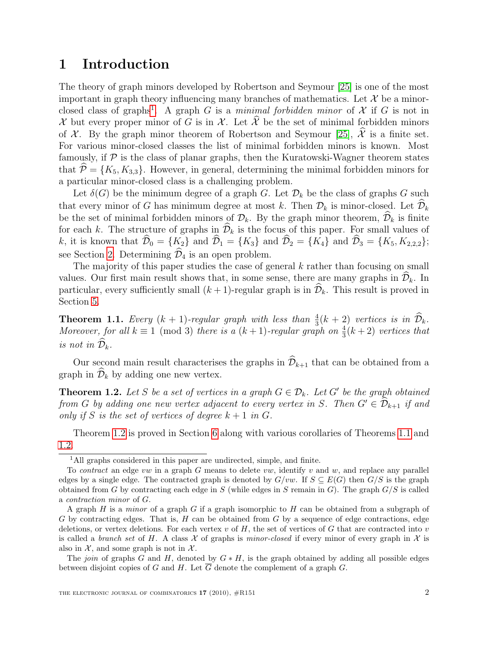## 1 Introduction

The theory of graph minors developed by Robertson and Seymour [\[25\]](#page-27-0) is one of the most important in graph theory influencing many branches of mathematics. Let  $\mathcal X$  be a minor-closed class of graphs<sup>[1](#page-1-0)</sup>. A graph G is a minimal forbidden minor of X if G is not in X but every proper minor of G is in X. Let  $\hat{\mathcal{X}}$  be the set of minimal forbidden minors of X. By the graph minor theorem of Robertson and Seymour [\[25\]](#page-27-0),  $\hat{\mathcal{X}}$  is a finite set. For various minor-closed classes the list of minimal forbidden minors is known. Most famously, if  $P$  is the class of planar graphs, then the Kuratowski-Wagner theorem states that  $\mathcal{P} = \{K_5, K_{3,3}\}.$  However, in general, determining the minimal forbidden minors for a particular minor-closed class is a challenging problem.

Let  $\delta(G)$  be the minimum degree of a graph G. Let  $\mathcal{D}_k$  be the class of graphs G such that every minor of G has minimum degree at most k. Then  $\mathcal{D}_k$  is minor-closed. Let  $\mathcal{D}_k$ be the set of minimal forbidden minors of  $\mathcal{D}_k$ . By the graph minor theorem,  $\widehat{\mathcal{D}}_k$  is finite for each k. The structure of graphs in  $\mathcal{D}_k$  is the focus of this paper. For small values of k, it is known that  $\widehat{\mathcal{D}}_0 = \{K_2\}$  and  $\widehat{\mathcal{D}}_1 = \{K_3\}$  and  $\widehat{\mathcal{D}}_2 = \{K_4\}$  and  $\widehat{\mathcal{D}}_3 = \{K_5, K_{2,2,2}\};$ see Section [2.](#page-2-0) Determining  $\widehat{\mathcal{D}}_4$  is an open problem.

The majority of this paper studies the case of general k rather than focusing on small values. Our first main result shows that, in some sense, there are many graphs in  $\widehat{\mathcal{D}}_k$ . In particular, every sufficiently small  $(k + 1)$ -regular graph is in  $\mathcal{D}_k$ . This result is proved in Section [5.](#page-10-0)

<span id="page-1-2"></span>**Theorem 1.1.** Every  $(k + 1)$ -regular graph with less than  $\frac{4}{3}(k + 2)$  vertices is in  $\hat{\mathcal{D}}_k$ . Moreover, for all  $k \equiv 1 \pmod{3}$  there is a  $(k+1)$ -regular graph on  $\frac{4}{3}(k+2)$  vertices that is not in  $\mathcal{D}_k$ .

Our second main result characterises the graphs in  $\widehat{\mathcal{D}}_{k+1}$  that can be obtained from a graph in  $\widehat{\mathcal{D}}_k$  by adding one new vertex.

<span id="page-1-1"></span>**Theorem 1.2.** Let S be a set of vertices in a graph  $G \in \mathcal{D}_k$ . Let G' be the graph obtained from G by adding one new vertex adjacent to every vertex in S. Then  $G' \in \widehat{\mathcal{D}}_{k+1}$  if and only if S is the set of vertices of degree  $k + 1$  in G.

Theorem [1.2](#page-1-1) is proved in Section [6](#page-11-0) along with various corollaries of Theorems [1.1](#page-1-2) and [1.2.](#page-1-1)

<span id="page-1-0"></span><sup>&</sup>lt;sup>1</sup>All graphs considered in this paper are undirected, simple, and finite.

To *contract* an edge vw in a graph G means to delete vw, identify v and w, and replace any parallel edges by a single edge. The contracted graph is denoted by  $G/vw$ . If  $S \subseteq E(G)$  then  $G/S$  is the graph obtained from G by contracting each edge in S (while edges in S remain in G). The graph  $G/S$  is called a contraction minor of G.

A graph  $H$  is a *minor* of a graph  $G$  if a graph isomorphic to  $H$  can be obtained from a subgraph of G by contracting edges. That is,  $H$  can be obtained from  $G$  by a sequence of edge contractions, edge deletions, or vertex deletions. For each vertex v of  $H$ , the set of vertices of G that are contracted into v is called a *branch set* of H. A class  $\mathcal X$  of graphs is *minor-closed* if every minor of every graph in  $\mathcal X$  is also in  $\mathcal{X}$ , and some graph is not in  $\mathcal{X}$ .

The join of graphs G and H, denoted by  $G * H$ , is the graph obtained by adding all possible edges between disjoint copies of G and H. Let  $\overline{G}$  denote the complement of a graph G.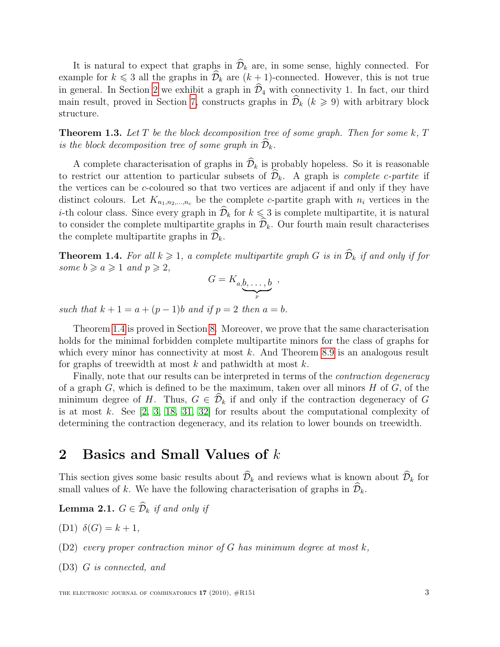It is natural to expect that graphs in  $\widehat{\mathcal{D}}_k$  are, in some sense, highly connected. For example for  $k \leq 3$  all the graphs in  $\widehat{\mathcal{D}}_k$  are  $(k + 1)$ -connected. However, this is not true in general. In Section [2](#page-2-0) we exhibit a graph in  $\widehat{\mathcal{D}}_4$  with connectivity 1. In fact, our third main result, proved in Section [7,](#page-12-0) constructs graphs in  $\hat{\mathcal{D}}_k$  ( $k \geq 9$ ) with arbitrary block structure.

**Theorem 1.3.** Let  $T$  be the block decomposition tree of some graph. Then for some  $k$ ,  $T$ is the block decomposition tree of some graph in  $\widehat{\mathcal{D}}_k$ .

A complete characterisation of graphs in  $\widehat{\mathcal{D}}_k$  is probably hopeless. So it is reasonable to restrict our attention to particular subsets of  $\hat{\mathcal{D}}_k$ . A graph is *complete c-partite* if the vertices can be c-coloured so that two vertices are adjacent if and only if they have distinct colours. Let  $K_{n_1,n_2,\dots,n_c}$  be the complete c-partite graph with  $n_i$  vertices in the *i*-th colour class. Since every graph in  $\widehat{\mathcal{D}}_k$  for  $k \leq 3$  is complete multipartite, it is natural to consider the complete multipartite graphs in  $\widehat{\mathcal{D}}_k$ . Our fourth main result characterises the complete multipartite graphs in  $\mathcal{D}_k$ .

<span id="page-2-1"></span>**Theorem 1.4.** For all  $k \geq 1$ , a complete multipartite graph G is in  $\widehat{\mathcal{D}}_k$  if and only if for some  $b \geq a \geq 1$  and  $p \geq 2$ ,

$$
G=K_{a,\underbrace{b,\ldots,b}_{p}}\ ,
$$

such that  $k + 1 = a + (p - 1)b$  and if  $p = 2$  then  $a = b$ .

Theorem [1.4](#page-2-1) is proved in Section [8.](#page-19-0) Moreover, we prove that the same characterisation holds for the minimal forbidden complete multipartite minors for the class of graphs for which every minor has connectivity at most  $k$ . And Theorem [8.9](#page-24-0) is an analogous result for graphs of treewidth at most  $k$  and pathwidth at most  $k$ .

Finally, note that our results can be interpreted in terms of the *contraction degeneracy* of a graph  $G$ , which is defined to be the maximum, taken over all minors  $H$  of  $G$ , of the minimum degree of H. Thus,  $G \in \hat{\mathcal{D}}_k$  if and only if the contraction degeneracy of G is at most k. See  $[2, 3, 18, 31, 32]$  $[2, 3, 18, 31, 32]$  $[2, 3, 18, 31, 32]$  $[2, 3, 18, 31, 32]$  $[2, 3, 18, 31, 32]$  for results about the computational complexity of determining the contraction degeneracy, and its relation to lower bounds on treewidth.

## <span id="page-2-0"></span>2 Basics and Small Values of k

This section gives some basic results about  $\widehat{\mathcal{D}}_k$  and reviews what is known about  $\widehat{\mathcal{D}}_k$  for small values of k. We have the following characterisation of graphs in  $\mathcal{D}_k$ .

<span id="page-2-2"></span>**Lemma 2.1.**  $G \in \widehat{\mathcal{D}}_k$  if and only if

(D1)  $\delta(G) = k + 1$ ,

(D2) every proper contraction minor of G has minimum degree at most  $k$ ,

(D3) G is connected, and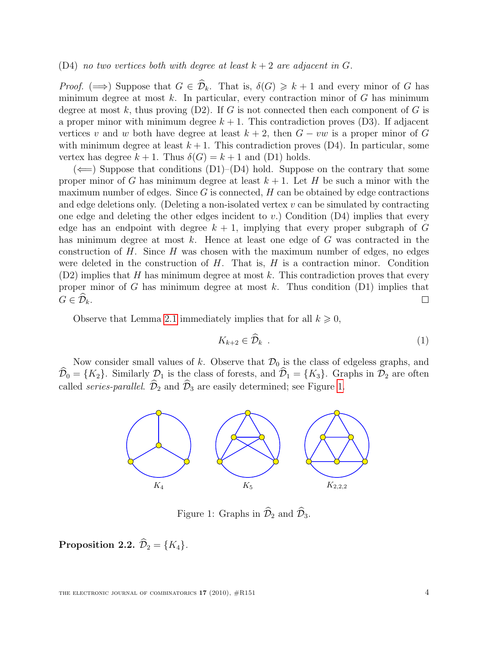#### (D4) no two vertices both with degree at least  $k+2$  are adjacent in G.

*Proof.* ( $\implies$ ) Suppose that  $G \in \widehat{\mathcal{D}}_k$ . That is,  $\delta(G) \geq k+1$  and every minor of G has minimum degree at most  $k$ . In particular, every contraction minor of  $G$  has minimum degree at most k, thus proving  $(D2)$ . If G is not connected then each component of G is a proper minor with minimum degree  $k + 1$ . This contradiction proves (D3). If adjacent vertices v and w both have degree at least  $k + 2$ , then  $G - vw$  is a proper minor of G with minimum degree at least  $k + 1$ . This contradiction proves  $(D4)$ . In particular, some vertex has degree  $k + 1$ . Thus  $\delta(G) = k + 1$  and (D1) holds.

 $(\Leftarrow)$  Suppose that conditions (D1)–(D4) hold. Suppose on the contrary that some proper minor of G has minimum degree at least  $k + 1$ . Let H be such a minor with the maximum number of edges. Since  $G$  is connected,  $H$  can be obtained by edge contractions and edge deletions only. (Deleting a non-isolated vertex  $v$  can be simulated by contracting one edge and deleting the other edges incident to v.) Condition  $(D4)$  implies that every edge has an endpoint with degree  $k + 1$ , implying that every proper subgraph of G has minimum degree at most k. Hence at least one edge of G was contracted in the construction of  $H$ . Since  $H$  was chosen with the maximum number of edges, no edges were deleted in the construction of  $H$ . That is,  $H$  is a contraction minor. Condition  $(D2)$  implies that H has minimum degree at most k. This contradiction proves that every proper minor of G has minimum degree at most  $k$ . Thus condition  $(D1)$  implies that  $G \in \widehat{\mathcal{D}}_k$ .  $\Box$ 

Observe that Lemma [2.1](#page-2-2) immediately implies that for all  $k \geqslant 0$ ,

<span id="page-3-1"></span>
$$
K_{k+2} \in \mathcal{D}_k \tag{1}
$$

Now consider small values of k. Observe that  $\mathcal{D}_0$  is the class of edgeless graphs, and  $\widehat{\mathcal{D}}_0 = \{K_2\}.$  Similarly  $\mathcal{D}_1$  is the class of forests, and  $\widehat{\mathcal{D}}_1 = \{K_3\}.$  Graphs in  $\mathcal{D}_2$  are often called *series-parallel.*  $\widehat{\mathcal{D}}_2$  and  $\widehat{\mathcal{D}}_3$  are easily determined; see Figure [1.](#page-3-0)



<span id="page-3-0"></span>Figure 1: Graphs in  $\widehat{\mathcal{D}}_2$  and  $\widehat{\mathcal{D}}_3$ .

#### Proposition 2.2.  $\widehat{\mathcal{D}}_2 = \{K_4\}.$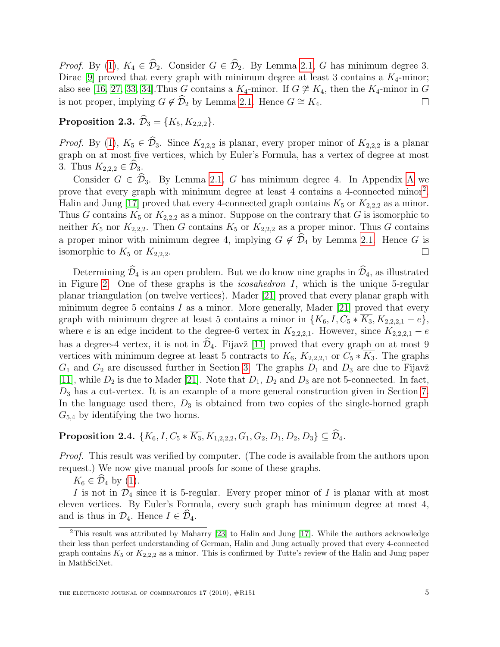*Proof.* By [\(1\)](#page-3-1),  $K_4 \in \hat{\mathcal{D}}_2$ . Consider  $G \in \hat{\mathcal{D}}_2$ . By Lemma [2.1,](#page-2-2) G has minimum degree 3. Dirac [\[9\]](#page-26-1) proved that every graph with minimum degree at least 3 contains a  $K_4$ -minor; also see [\[16,](#page-26-2) [27,](#page-27-3) [33,](#page-28-1) [34\]](#page-28-2). Thus G contains a  $K_4$ -minor. If  $G \not\cong K_4$ , then the  $K_4$ -minor in G is not proper, implying  $G \notin \widehat{D}_2$  by Lemma [2.1.](#page-2-2) Hence  $G \cong K_4$ .  $\Box$ 

### Proposition 2.3.  $\hat{\mathcal{D}}_3 = \{K_5, K_{2,2,2}\}.$

*Proof.* By [\(1\)](#page-3-1),  $K_5 \in \hat{\mathcal{D}}_3$ . Since  $K_{2,2,2}$  is planar, every proper minor of  $K_{2,2,2}$  is a planar graph on at most five vertices, which by Euler's Formula, has a vertex of degree at most 3. Thus  $K_{2,2,2} \in \mathcal{D}_3$ .

Consider  $G \in \widehat{\mathcal{D}}_3$ . By Lemma [2.1,](#page-2-2) G has minimum degree 4. In [A](#page-28-3)ppendix A we prove that every graph with minimum degree at least 4 contains a 4-connected minor<sup>[2](#page-4-0)</sup>. Halin and Jung [\[17\]](#page-26-3) proved that every 4-connected graph contains  $K_5$  or  $K_{2,2,2}$  as a minor. Thus G contains  $K_5$  or  $K_{2,2,2}$  as a minor. Suppose on the contrary that G is isomorphic to neither  $K_5$  nor  $K_{2,2,2}$ . Then G contains  $K_5$  or  $K_{2,2,2}$  as a proper minor. Thus G contains a proper minor with minimum degree 4, implying  $G \notin \mathcal{D}_4$  by Lemma [2.1.](#page-2-2) Hence G is isomorphic to  $K_5$  or  $K_{2,2,3}$ . isomorphic to  $K_5$  or  $K_{2,2,2}$ .

Determining  $\widehat{\mathcal{D}}_4$  is an open problem. But we do know nine graphs in  $\widehat{\mathcal{D}}_4$ , as illustrated in Figure [2.](#page-5-0) One of these graphs is the *icosahedron I*, which is the unique  $5$ -regular planar triangulation (on twelve vertices). Mader [\[21\]](#page-27-4) proved that every planar graph with minimum degree 5 contains  $I$  as a minor. More generally, Mader [\[21\]](#page-27-4) proved that every graph with minimum degree at least 5 contains a minor in  $\{K_6, I, C_5 * \overline{K_3}, K_{2,2,2,1} - e\}$ , where e is an edge incident to the degree-6 vertex in  $K_{2,2,2,1}$ . However, since  $K_{2,2,2,1}$  – e has a degree-4 vertex, it is not in  $\mathcal{D}_4$ . Fijavž [\[11\]](#page-26-4) proved that every graph on at most 9 vertices with minimum degree at least 5 contracts to  $K_6$ ,  $K_{2,2,2,1}$  or  $C_5 * \overline{K_3}$ . The graphs  $G_1$  and  $G_2$  are discussed further in Section [3.](#page-6-0) The graphs  $D_1$  and  $D_3$  are due to Fijavž [\[11\]](#page-26-4), while  $D_2$  is due to Mader [\[21\]](#page-27-4). Note that  $D_1$ ,  $D_2$  and  $D_3$  are not 5-connected. In fact,  $D_3$  has a cut-vertex. It is an example of a more general construction given in Section [7.](#page-12-0) In the language used there,  $D_3$  is obtained from two copies of the single-horned graph  $G_{5,4}$  by identifying the two horns.

# Proposition 2.4. { $K_6$ ,  $I, C_5 * \overline{K_3}$ ,  $K_{1,2,2,2}$ ,  $G_1, G_2, D_1, D_2, D_3$ }  $\subseteq \widehat{\mathcal{D}}_4$ .

Proof. This result was verified by computer. (The code is available from the authors upon request.) We now give manual proofs for some of these graphs.

 $K_6 \in \mathcal{D}_4$  by [\(1\)](#page-3-1).

I is not in  $\mathcal{D}_4$  since it is 5-regular. Every proper minor of I is planar with at most eleven vertices. By Euler's Formula, every such graph has minimum degree at most 4, and is thus in  $\mathcal{D}_4$ . Hence  $I \in \widehat{\mathcal{D}}_4$ .

<span id="page-4-0"></span><sup>2</sup>This result was attributed by Maharry [\[23\]](#page-27-5) to Halin and Jung [\[17\]](#page-26-3). While the authors acknowledge their less than perfect understanding of German, Halin and Jung actually proved that every 4-connected graph contains  $K_5$  or  $K_{2,2,2}$  as a minor. This is confirmed by Tutte's review of the Halin and Jung paper in MathSciNet.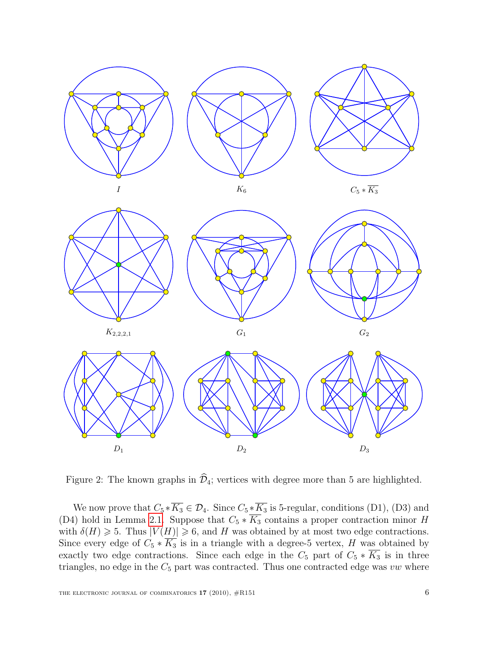

<span id="page-5-0"></span>Figure 2: The known graphs in  $\widehat{\mathcal{D}}_4$ ; vertices with degree more than 5 are highlighted.

We now prove that  $C_5 * \overline{K_3} \in \mathcal{D}_4$ . Since  $C_5 * \overline{K_3}$  is 5-regular, conditions (D1), (D3) and (D4) hold in Lemma [2.1.](#page-2-2) Suppose that  $C_5 * \overline{K_3}$  contains a proper contraction minor H with  $\delta(H) \geq 5$ . Thus  $|V(H)| \geq 6$ , and H was obtained by at most two edge contractions. Since every edge of  $C_5 * \overline{K_3}$  is in a triangle with a degree-5 vertex, H was obtained by exactly two edge contractions. Since each edge in the  $C_5$  part of  $C_5 * \overline{K_3}$  is in three triangles, no edge in the  $C_5$  part was contracted. Thus one contracted edge was vw where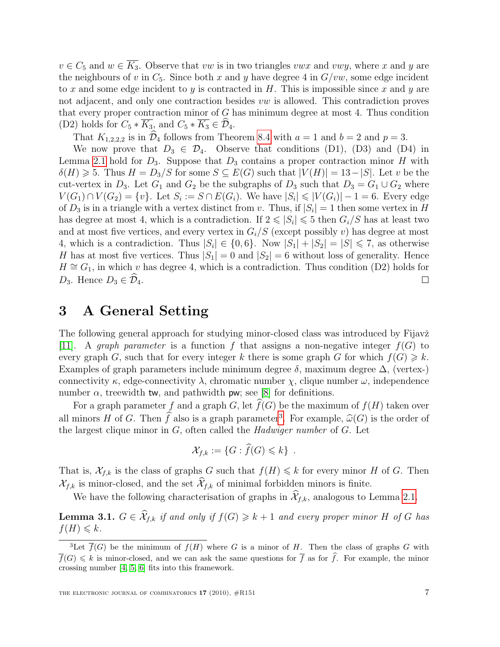$v \in C_5$  and  $w \in \overline{K_3}$ . Observe that vw is in two triangles vwx and vwy, where x and y are the neighbours of v in  $C_5$ . Since both x and y have degree 4 in  $G/vw$ , some edge incident to x and some edge incident to y is contracted in  $H$ . This is impossible since x and y are not adjacent, and only one contraction besides vw is allowed. This contradiction proves that every proper contraction minor of  $G$  has minimum degree at most 4. Thus condition (D2) holds for  $C_5 * \overline{K_3}$ , and  $C_5 * \overline{K_3} \in \mathcal{D}_4$ .

That  $K_{1,2,2,2}$  is in  $\widehat{\mathcal{D}}_4$  follows from Theorem [8.4](#page-21-0) with  $a = 1$  and  $b = 2$  and  $p = 3$ .

We now prove that  $D_3 \in \mathcal{D}_4$ . Observe that conditions (D1), (D3) and (D4) in Lemma [2.1](#page-2-2) hold for  $D_3$ . Suppose that  $D_3$  contains a proper contraction minor H with  $\delta(H) \geq 5$ . Thus  $H = D_3/S$  for some  $S \subseteq E(G)$  such that  $|V(H)| = 13 - |S|$ . Let v be the cut-vertex in  $D_3$ . Let  $G_1$  and  $G_2$  be the subgraphs of  $D_3$  such that  $D_3 = G_1 \cup G_2$  where  $V(G_1) \cap V(G_2) = \{v\}.$  Let  $S_i := S \cap E(G_i)$ . We have  $|S_i| \leq |V(G_i)| - 1 = 6$ . Every edge of  $D_3$  is in a triangle with a vertex distinct from v. Thus, if  $|S_i| = 1$  then some vertex in H has degree at most 4, which is a contradiction. If  $2 \leq |S_i| \leq 5$  then  $G_i/S$  has at least two and at most five vertices, and every vertex in  $G_i/S$  (except possibly v) has degree at most 4, which is a contradiction. Thus  $|S_i| \in \{0,6\}$ . Now  $|S_1| + |S_2| = |S| \le 7$ , as otherwise H has at most five vertices. Thus  $|S_1| = 0$  and  $|S_2| = 6$  without loss of generality. Hence  $H \cong G_1$ , in which v has degree 4, which is a contradiction. Thus condition (D2) holds for  $D_3$ . Hence  $D_3 \in \mathcal{D}_4$ .  $\Box$ 

## <span id="page-6-0"></span>3 A General Setting

The following general approach for studying minor-closed class was introduced by Fijavž [\[11\]](#page-26-4). A graph parameter is a function f that assigns a non-negative integer  $f(G)$  to every graph G, such that for every integer k there is some graph G for which  $f(G) \geq k$ . Examples of graph parameters include minimum degree  $\delta$ , maximum degree  $\Delta$ , (vertex-) connectivity  $\kappa$ , edge-connectivity  $\lambda$ , chromatic number  $\chi$ , clique number  $\omega$ , independence number  $\alpha$ , treewidth tw, and pathwidth pw; see [\[8\]](#page-26-5) for definitions.

For a graph parameter f and a graph G, let  $\widehat{f}(G)$  be the maximum of  $f(H)$  taken over all minors H of G. Then  $\hat{f}$  also is a graph parameter<sup>[3](#page-6-1)</sup>. For example,  $\hat{\omega}(G)$  is the order of the largest clique minor in  $G$  of the called the Hadwiger number of  $G$ . Let the largest clique minor in  $G$ , often called the *Hadwiger number* of  $G$ . Let

$$
\mathcal{X}_{f,k} := \{G : \widehat{f}(G) \leq k\} \ .
$$

That is,  $\mathcal{X}_{f,k}$  is the class of graphs G such that  $f(H) \leq k$  for every minor H of G. Then  $\mathcal{X}_{f,k}$  is minor-closed, and the set  $\widehat{\mathcal{X}}_{f,k}$  of minimal forbidden minors is finite.

We have the following characterisation of graphs in  $\mathcal{X}_{f,k}$ , analogous to Lemma [2.1.](#page-2-2)

<span id="page-6-2"></span>**Lemma 3.1.**  $G \in \widehat{\mathcal{X}}_{f,k}$  if and only if  $f(G) \geq k+1$  and every proper minor H of G has  $f(H) \leqslant k$ .

<span id="page-6-1"></span><sup>&</sup>lt;sup>3</sup>Let  $\overline{f}(G)$  be the minimum of  $f(H)$  where G is a minor of H. Then the class of graphs G with  $\overline{f}(G) \leq k$  is minor-closed, and we can ask the same questions for  $\overline{f}$  as for  $\hat{f}$ . For example, the minor crossing number [\[4,](#page-26-6) [5,](#page-26-7) [6\]](#page-26-8) fits into this framework.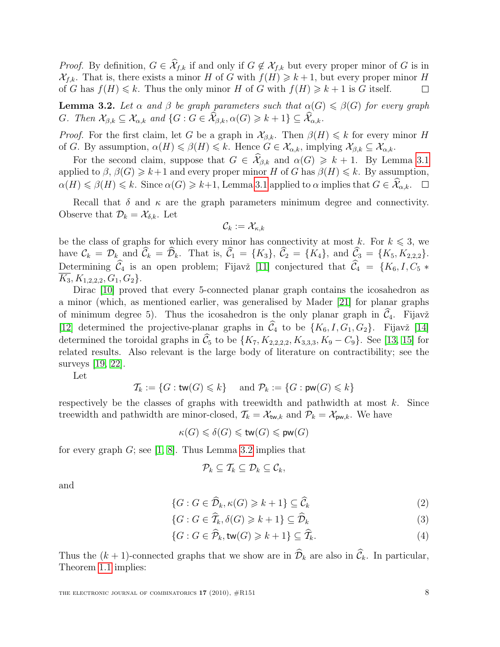*Proof.* By definition,  $G \in \widehat{\mathcal{X}}_{f,k}$  if and only if  $G \notin \mathcal{X}_{f,k}$  but every proper minor of G is in  $\mathcal{X}_{f,k}$ . That is, there exists a minor H of G with  $f(H) \geq k+1$ , but every proper minor H of G has  $f(H) \leq k$ . Thus the only minor H of G with  $f(H) \geq k+1$  is G itself.  $\Box$ 

<span id="page-7-0"></span>**Lemma 3.2.** Let  $\alpha$  and  $\beta$  be graph parameters such that  $\alpha(G) \leq \beta(G)$  for every graph G. Then  $\mathcal{X}_{\beta,k} \subseteq \mathcal{X}_{\alpha,k}$  and  $\{G : G \in \widehat{\mathcal{X}}_{\beta,k}, \alpha(G) \geq k+1\} \subseteq \widehat{\mathcal{X}}_{\alpha,k}$ .

*Proof.* For the first claim, let G be a graph in  $\mathcal{X}_{\beta,k}$ . Then  $\beta(H) \leq k$  for every minor H of G. By assumption,  $\alpha(H) \leq \beta(H) \leq k$ . Hence  $G \in \mathcal{X}_{\alpha,k}$ , implying  $\mathcal{X}_{\beta,k} \subseteq \mathcal{X}_{\alpha,k}$ .

For the second claim, suppose that  $G \in \mathcal{X}_{\beta,k}$  and  $\alpha(G) \geq k+1$ . By Lemma [3.1](#page-6-2) applied to  $\beta$ ,  $\beta(G) \geq k+1$  and every proper minor H of G has  $\beta(H) \leq k$ . By assumption,  $\alpha(H) \leq \beta(H) \leq k$ . Since  $\alpha(G) \geq k+1$ , Lemma [3.1](#page-6-2) applied to  $\alpha$  implies that  $G \in \widehat{\mathcal{X}}_{\alpha,k}$ .  $\Box$ 

Recall that  $\delta$  and  $\kappa$  are the graph parameters minimum degree and connectivity. Observe that  $\mathcal{D}_k = \mathcal{X}_{\delta,k}$ . Let

$$
\mathcal{C}_k := \mathcal{X}_{\kappa,k}
$$

be the class of graphs for which every minor has connectivity at most k. For  $k \leq 3$ , we have  $\mathcal{C}_k = \mathcal{D}_k$  and  $\widehat{\mathcal{C}}_k = \widehat{\mathcal{D}}_k$ . That is,  $\widehat{\mathcal{C}}_1 = \{K_3\}$ ,  $\widehat{\mathcal{C}}_2 = \{\tilde{K}_4\}$ , and  $\widehat{\mathcal{C}}_3 = \{K_5, K_{2,2,2}\}.$ Determining  $\widehat{C}_4$  is an open problem; Fijavž [\[11\]](#page-26-4) conjectured that  $\widehat{C}_4 = \{K_6, I, C_5 *$  $\overline{K_3}, K_{1,2,2,2}, G_1, G_2$ .

Dirac [\[10\]](#page-26-9) proved that every 5-connected planar graph contains the icosahedron as a minor (which, as mentioned earlier, was generalised by Mader [\[21\]](#page-27-4) for planar graphs of minimum degree 5). Thus the icosahedron is the only planar graph in  $\hat{C}_4$ . Fijavž [\[12\]](#page-26-10) determined the projective-planar graphs in  $\widehat{C}_4$  to be  $\{K_6, I, G_1, G_2\}$ . Fijavž [\[14\]](#page-26-11) determined the toroidal graphs in  $\widehat{C}_5$  to be  $\{K_7, K_{2,2,2,2}, K_{3,3,3}, K_9 - C_9\}$ . See [\[13,](#page-26-12) [15\]](#page-26-13) for related results. Also relevant is the large body of literature on contractibility; see the surveys [\[19,](#page-27-6) [22\]](#page-27-7).

Let

$$
\mathcal{T}_k:=\{G:\mathsf{tw}(G)\leqslant k\}\quad \text{ and }\mathcal{P}_k:=\{G:\mathsf{pw}(G)\leqslant k\}
$$

respectively be the classes of graphs with treewidth and pathwidth at most  $k$ . Since treewidth and pathwidth are minor-closed,  $\mathcal{T}_k = \mathcal{X}_{tw,k}$  and  $\mathcal{P}_k = \mathcal{X}_{pw,k}$ . We have

$$
\kappa(G) \leqslant \delta(G) \leqslant \mathsf{tw}(G) \leqslant \mathsf{pw}(G)
$$

for every graph  $G$ ; see [\[1,](#page-25-1) [8\]](#page-26-5). Thus Lemma [3.2](#page-7-0) implies that

<span id="page-7-3"></span><span id="page-7-2"></span><span id="page-7-1"></span>
$$
\mathcal{P}_k \subseteq \mathcal{T}_k \subseteq \mathcal{D}_k \subseteq \mathcal{C}_k,
$$

and

$$
\{G : G \in \widehat{\mathcal{D}}_k, \kappa(G) \geq k+1\} \subseteq \widehat{\mathcal{C}}_k \tag{2}
$$

$$
\{G : G \in \widehat{T}_k, \delta(G) \geq k+1\} \subseteq \widehat{\mathcal{D}}_k \tag{3}
$$

$$
\{G : G \in \widehat{\mathcal{P}}_k, \text{tw}(G) \geq k+1\} \subseteq \widehat{\mathcal{I}}_k. \tag{4}
$$

Thus the  $(k + 1)$ -connected graphs that we show are in  $\widehat{\mathcal{D}}_k$  are also in  $\widehat{\mathcal{C}}_k$ . In particular, Theorem [1.1](#page-1-2) implies: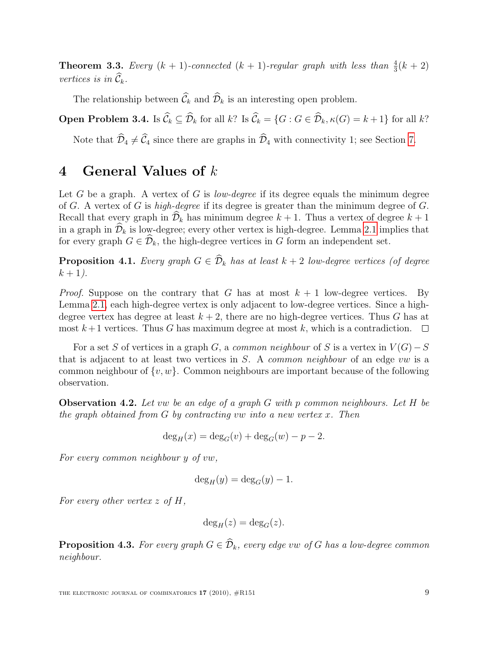**Theorem 3.3.** Every  $(k + 1)$ -connected  $(k + 1)$ -regular graph with less than  $\frac{4}{3}(k + 2)$ vertices is in  $\widehat{\mathcal{C}}_k$ .

The relationship between  $\widehat{\mathcal{C}}_k$  and  $\widehat{\mathcal{D}}_k$  is an interesting open problem.

**Open Problem 3.4.** Is  $\widehat{\mathcal{C}}_k \subseteq \widehat{\mathcal{D}}_k$  for all k? Is  $\widehat{\mathcal{C}}_k = \{G : G \in \widehat{\mathcal{D}}_k, \kappa(G) = k+1\}$  for all k?

Note that  $\widehat{\mathcal{D}}_4 \neq \widehat{\mathcal{C}}_4$  since there are graphs in  $\widehat{\mathcal{D}}_4$  with connectivity 1; see Section [7.](#page-12-0)

#### 4 General Values of k

Let G be a graph. A vertex of G is *low-degree* if its degree equals the minimum degree of G. A vertex of G is high-degree if its degree is greater than the minimum degree of G. Recall that every graph in  $\widehat{\mathcal{D}}_k$  has minimum degree  $k + 1$ . Thus a vertex of degree  $k + 1$ in a graph in  $\widehat{\mathcal{D}}_k$  is low-degree; every other vertex is high-degree. Lemma [2.1](#page-2-2) implies that for every graph  $G \in \widehat{\mathcal{D}}_k$ , the high-degree vertices in G form an independent set.

<span id="page-8-1"></span>**Proposition 4.1.** Every graph  $G \in \widehat{\mathcal{D}}_k$  has at least  $k + 2$  low-degree vertices (of degree  $k + 1$ ).

*Proof.* Suppose on the contrary that G has at most  $k + 1$  low-degree vertices. By Lemma [2.1,](#page-2-2) each high-degree vertex is only adjacent to low-degree vertices. Since a highdegree vertex has degree at least  $k + 2$ , there are no high-degree vertices. Thus G has at most  $k+1$  vertices. Thus G has maximum degree at most k, which is a contradiction.  $\Box$ 

For a set S of vertices in a graph G, a common neighbour of S is a vertex in  $V(G) - S$ that is adjacent to at least two vertices in  $S$ . A *common neighbour* of an edge vw is a common neighbour of  $\{v, w\}$ . Common neighbours are important because of the following observation.

<span id="page-8-0"></span>**Observation 4.2.** Let vw be an edge of a graph G with p common neighbours. Let H be the graph obtained from  $G$  by contracting vw into a new vertex x. Then

$$
\deg_H(x) = \deg_G(v) + \deg_G(w) - p - 2.
$$

For every common neighbour y of vw,

$$
\deg_H(y) = \deg_G(y) - 1.
$$

For every other vertex  $z \text{ of } H$ ,

$$
\deg_H(z) = \deg_G(z).
$$

**Proposition 4.3.** For every graph  $G \in \widehat{\mathcal{D}}_k$ , every edge vw of G has a low-degree common neighbour.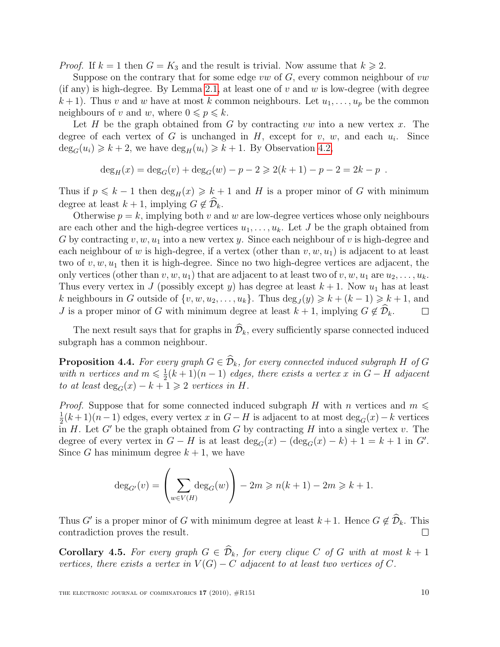*Proof.* If  $k = 1$  then  $G = K_3$  and the result is trivial. Now assume that  $k \ge 2$ .

Suppose on the contrary that for some edge vw of  $G$ , every common neighbour of vw (if any) is high-degree. By Lemma [2.1,](#page-2-2) at least one of  $v$  and  $w$  is low-degree (with degree  $k+1$ ). Thus v and w have at most k common neighbours. Let  $u_1, \ldots, u_p$  be the common neighbours of v and w, where  $0 \leqslant p \leqslant k$ .

Let H be the graph obtained from G by contracting vw into a new vertex x. The degree of each vertex of G is unchanged in H, except for  $v, w$ , and each  $u_i$ . Since  $\deg_G(u_i) \geq k+2$ , we have  $\deg_H(u_i) \geq k+1$ . By Observation [4.2,](#page-8-0)

$$
\deg_H(x) = \deg_G(v) + \deg_G(w) - p - 2 \ge 2(k+1) - p - 2 = 2k - p.
$$

Thus if  $p \le k - 1$  then  $\deg_H(x) \ge k + 1$  and H is a proper minor of G with minimum degree at least  $k + 1$ , implying  $G \notin \mathcal{D}_k$ .

Otherwise  $p = k$ , implying both v and w are low-degree vertices whose only neighbours are each other and the high-degree vertices  $u_1, \ldots, u_k$ . Let J be the graph obtained from G by contracting v, w,  $u_1$  into a new vertex y. Since each neighbour of v is high-degree and each neighbour of w is high-degree, if a vertex (other than  $v, w, u_1$ ) is adjacent to at least two of  $v, w, u_1$  then it is high-degree. Since no two high-degree vertices are adjacent, the only vertices (other than  $v, w, u_1$ ) that are adjacent to at least two of  $v, w, u_1$  are  $u_2, \ldots, u_k$ . Thus every vertex in J (possibly except y) has degree at least  $k + 1$ . Now  $u_1$  has at least k neighbours in G outside of  $\{v, w, u_2, \ldots, u_k\}$ . Thus  $\deg_J(y) \geq k + (k-1) \geq k+1$ , and J is a proper minor of G with minimum degree at least  $k + 1$ , implying  $G \notin \widehat{\mathcal{D}}_k$ .  $\Box$ 

The next result says that for graphs in  $\widehat{\mathcal{D}}_k$ , every sufficiently sparse connected induced subgraph has a common neighbour.

**Proposition 4.4.** For every graph  $G \in \widehat{\mathcal{D}}_k$ , for every connected induced subgraph H of G with n vertices and  $m \leqslant \frac{1}{2}$  $\frac{1}{2}(k+1)(n-1)$  edges, there exists a vertex x in  $G-H$  adjacent to at least  $\deg_G(x) - k + 1 \geq 2$  vertices in H.

*Proof.* Suppose that for some connected induced subgraph H with n vertices and  $m \leqslant$ 1  $\frac{1}{2}(k+1)(n-1)$  edges, every vertex x in  $G-H$  is adjacent to at most  $\deg_G(x)-k$  vertices in H. Let  $G'$  be the graph obtained from G by contracting H into a single vertex v. The degree of every vertex in  $G - H$  is at least  $deg_G(x) - (deg_G(x) - k) + 1 = k + 1$  in G'. Since G has minimum degree  $k + 1$ , we have

$$
\deg_{G'}(v) = \left(\sum_{w \in V(H)} \deg_G(w)\right) - 2m \geqslant n(k+1) - 2m \geqslant k+1.
$$

Thus G' is a proper minor of G with minimum degree at least  $k + 1$ . Hence  $G \notin \mathcal{D}_k$ . This contradiction proves the result.

**Corollary 4.5.** For every graph  $G \in \widehat{\mathcal{D}}_k$ , for every clique C of G with at most  $k + 1$ vertices, there exists a vertex in  $V(G) - C$  adjacent to at least two vertices of C.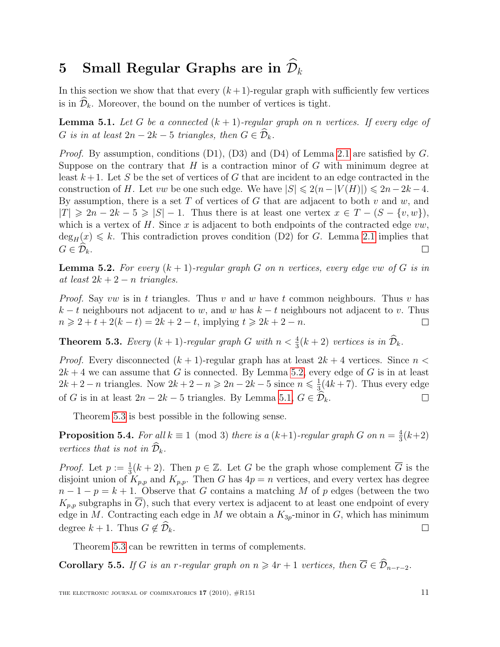## <span id="page-10-0"></span>5 Small Regular Graphs are in  $\mathcal{D}_k$

In this section we show that that every  $(k+1)$ -regular graph with sufficiently few vertices is in  $\widehat{\mathcal{D}}_k$ . Moreover, the bound on the number of vertices is tight.

<span id="page-10-2"></span>**Lemma 5.1.** Let G be a connected  $(k + 1)$ -regular graph on n vertices. If every edge of G is in at least  $2n - 2k - 5$  triangles, then  $G \in \mathcal{D}_k$ .

*Proof.* By assumption, conditions  $(D1)$ ,  $(D3)$  and  $(D4)$  of Lemma [2.1](#page-2-2) are satisfied by G. Suppose on the contrary that  $H$  is a contraction minor of  $G$  with minimum degree at least  $k+1$ . Let S be the set of vertices of G that are incident to an edge contracted in the construction of H. Let vw be one such edge. We have  $|S| \leq 2(n-|V(H)|) \leq 2n-2k-4$ . By assumption, there is a set  $T$  of vertices of  $G$  that are adjacent to both  $v$  and  $w$ , and  $|T| \geq 2n - 2k - 5 \geq |S| - 1$ . Thus there is at least one vertex  $x \in T - (S - \{v, w\})$ , which is a vertex of  $H$ . Since  $x$  is adjacent to both endpoints of the contracted edge  $vw$ ,  $\deg_H(x) \leq k$ . This contradiction proves condition (D2) for G. Lemma [2.1](#page-2-2) implies that  $G \in \mathcal{D}_k$ .  $\Box$ 

<span id="page-10-1"></span>**Lemma 5.2.** For every  $(k + 1)$ -regular graph G on n vertices, every edge vw of G is in at least  $2k + 2 - n$  triangles.

*Proof.* Say vw is in t triangles. Thus v and w have t common neighbours. Thus v has  $k - t$  neighbours not adjacent to w, and w has  $k - t$  neighbours not adjacent to v. Thus  $n \geq 2 + t + 2(k - t) = 2k + 2 - t$ , implying  $t \geq 2k + 2 - n$ .  $\Box$ 

<span id="page-10-3"></span>**Theorem 5.3.** Every  $(k + 1)$ -regular graph G with  $n < \frac{4}{3}(k + 2)$  vertices is in  $\widehat{\mathcal{D}}_k$ .

*Proof.* Every disconnected  $(k + 1)$ -regular graph has at least  $2k + 4$  vertices. Since  $n <$  $2k + 4$  we can assume that G is connected. By Lemma [5.2,](#page-10-1) every edge of G is in at least  $2k+2-n$  triangles. Now  $2k+2-n \geqslant 2n-2k-5$  since  $n \leqslant \frac{1}{3}$  $\frac{1}{3}(4k+7)$ . Thus every edge of G is in at least  $2n - 2k - 5$  triangles. By Lemma [5.1,](#page-10-2)  $G \in \widehat{\mathcal{D}}_k$ .  $\Box$ 

Theorem [5.3](#page-10-3) is best possible in the following sense.

**Proposition 5.4.** For all  $k \equiv 1 \pmod{3}$  there is a  $(k+1)$ -regular graph G on  $n = \frac{4}{3}$  $\frac{4}{3}(k+2)$ vertices that is not in  $\mathcal{D}_k$ .

*Proof.* Let  $p := \frac{1}{3}(k+2)$ . Then  $p \in \mathbb{Z}$ . Let G be the graph whose complement  $\overline{G}$  is the disjoint union of  $K_{p,p}$  and  $K_{p,p}$ . Then G has  $4p = n$  vertices, and every vertex has degree  $n-1-p=k+1$ . Observe that G contains a matching M of p edges (between the two  $K_{p,p}$  subgraphs in  $\overline{G}$ , such that every vertex is adjacent to at least one endpoint of every edge in M. Contracting each edge in M we obtain a  $K_{3p}$ -minor in G, which has minimum degree  $k + 1$ . Thus  $G \notin \mathcal{D}_k$ .  $\Box$ 

Theorem [5.3](#page-10-3) can be rewritten in terms of complements.

**Corollary 5.5.** If G is an r-regular graph on  $n \geq 4r + 1$  vertices, then  $\overline{G} \in \widehat{\mathcal{D}}_{n-r-2}$ .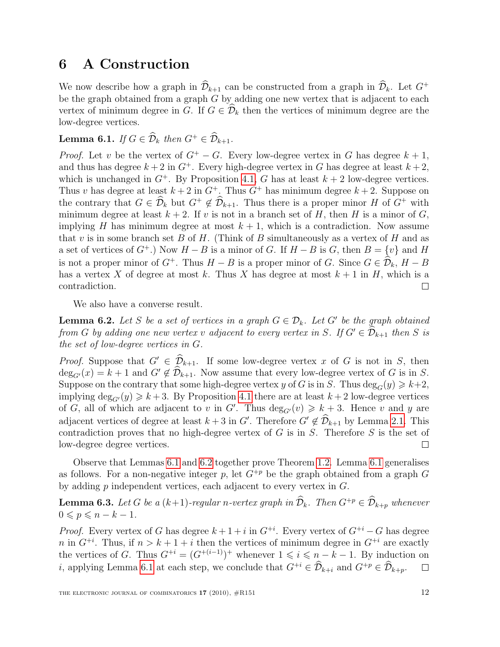### <span id="page-11-0"></span>6 A Construction

We now describe how a graph in  $\widehat{\mathcal{D}}_{k+1}$  can be constructed from a graph in  $\widehat{\mathcal{D}}_k$ . Let  $G^+$ be the graph obtained from a graph  $G$  by adding one new vertex that is adjacent to each vertex of minimum degree in G. If  $G \in \mathcal{D}_k$  then the vertices of minimum degree are the low-degree vertices.

<span id="page-11-1"></span>**Lemma 6.1.** If  $G \in \widehat{\mathcal{D}}_k$  then  $G^+ \in \widehat{\mathcal{D}}_{k+1}$ .

*Proof.* Let v be the vertex of  $G^+ - G$ . Every low-degree vertex in G has degree  $k + 1$ , and thus has degree  $k + 2$  in  $G^+$ . Every high-degree vertex in G has degree at least  $k + 2$ , which is unchanged in  $G^+$ . By Proposition [4.1,](#page-8-1) G has at least  $k+2$  low-degree vertices. Thus v has degree at least  $k + 2$  in  $G^+$ . Thus  $G^+$  has minimum degree  $k + 2$ . Suppose on the contrary that  $G \in \widehat{\mathcal{D}}_k$  but  $G^+ \notin \widehat{\mathcal{D}}_{k+1}$ . Thus there is a proper minor H of  $G^+$  with minimum degree at least  $k + 2$ . If v is not in a branch set of H, then H is a minor of G, implying H has minimum degree at most  $k + 1$ , which is a contradiction. Now assume that v is in some branch set B of H. (Think of B simultaneously as a vertex of H and as a set of vertices of  $G^+$ .) Now  $H - B$  is a minor of G. If  $H - B$  is G, then  $B = \{v\}$  and H is not a proper minor of  $G^+$ . Thus  $H - B$  is a proper minor of G. Since  $G \in \mathcal{D}_k$ ,  $H - B$ has a vertex X of degree at most k. Thus X has degree at most  $k + 1$  in H, which is a contradiction.  $\Box$ 

We also have a converse result.

<span id="page-11-2"></span>**Lemma 6.2.** Let S be a set of vertices in a graph  $G \in \mathcal{D}_k$ . Let G' be the graph obtained from G by adding one new vertex v adjacent to every vertex in S. If  $G' \in \mathcal{D}_{k+1}$  then S is the set of low-degree vertices in G.

*Proof.* Suppose that  $G' \in \widehat{\mathcal{D}}_{k+1}$ . If some low-degree vertex x of G is not in S, then  $\deg_{G'}(x) = k + 1$  and  $G' \notin \mathcal{D}_{k+1}$ . Now assume that every low-degree vertex of G is in S. Suppose on the contrary that some high-degree vertex y of G is in S. Thus  $\deg_G(y) \geq k+2$ , implying  $\deg_{G'}(y) \geq k+3$ . By Proposition [4.1](#page-8-1) there are at least  $k+2$  low-degree vertices of G, all of which are adjacent to v in G'. Thus  $\deg_{G'}(v) \geq k+3$ . Hence v and y are adjacent vertices of degree at least  $k + 3$  in G'. Therefore  $G' \notin \mathcal{D}_{k+1}$  by Lemma [2.1.](#page-2-2) This contradiction proves that no high-degree vertex of  $G$  is in  $S$ . Therefore  $S$  is the set of low-degree degree vertices.  $\Box$ 

Observe that Lemmas [6.1](#page-11-1) and [6.2](#page-11-2) together prove Theorem [1.2.](#page-1-1) Lemma [6.1](#page-11-1) generalises as follows. For a non-negative integer p, let  $G^{+p}$  be the graph obtained from a graph G by adding p independent vertices, each adjacent to every vertex in G.

<span id="page-11-3"></span>**Lemma 6.3.** Let G be a  $(k+1)$ -regular n-vertex graph in  $\widehat{\mathcal{D}}_k$ . Then  $G^{+p} \in \widehat{\mathcal{D}}_{k+p}$  whenever  $0 \leqslant p \leqslant n - k - 1.$ 

*Proof.* Every vertex of G has degree  $k+1+i$  in  $G^{+i}$ . Every vertex of  $G^{+i} - G$  has degree n in  $G^{+i}$ . Thus, if  $n > k+1+i$  then the vertices of minimum degree in  $G^{+i}$  are exactly the vertices of G. Thus  $G^{+i} = (G^{+(i-1)})^+$  whenever  $1 \leq i \leq n-k-1$ . By induction on i, applying Lemma [6.1](#page-11-1) at each step, we conclude that  $G^{+i} \in \widehat{\mathcal{D}}_{k+i}$  and  $G^{+p} \in \widehat{\mathcal{D}}_{k+p}$ .  $\Box$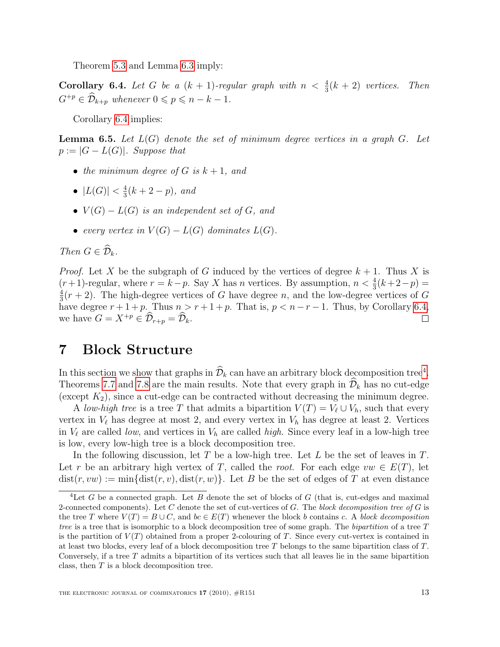Theorem [5.3](#page-10-3) and Lemma [6.3](#page-11-3) imply:

<span id="page-12-1"></span>**Corollary 6.4.** Let G be a  $(k + 1)$ -regular graph with  $n < \frac{4}{3}(k + 2)$  vertices. Then  $G^{+p} \in \widehat{\mathcal{D}}_{k+p}$  whenever  $0 \leqslant p \leqslant n-k-1$ .

Corollary [6.4](#page-12-1) implies:

<span id="page-12-3"></span>**Lemma 6.5.** Let  $L(G)$  denote the set of minimum degree vertices in a graph  $G$ . Let  $p := |G - L(G)|$ . Suppose that

- the minimum degree of G is  $k + 1$ , and
- $|L(G)| < \frac{4}{3}$  $\frac{4}{3}(k+2-p)$ , and
- $V(G) L(G)$  is an independent set of G, and
- every vertex in  $V(G) L(G)$  dominates  $L(G)$ .

Then  $G \in \widehat{\mathcal{D}}_k$ .

*Proof.* Let X be the subgraph of G induced by the vertices of degree  $k + 1$ . Thus X is  $(r+1)$ -regular, where  $r = k-p$ . Say X has n vertices. By assumption,  $n < \frac{4}{3}(k+2-p)$ 4  $\frac{4}{3}(r+2)$ . The high-degree vertices of G have degree n, and the low-degree vertices of G have degree  $r+1+p$ . Thus  $n > r+1+p$ . That is,  $p < n-r-1$ . Thus, by Corollary [6.4,](#page-12-1) we have  $G = X^{+p} \in \widehat{\mathcal{D}}_{r+p} = \widehat{\mathcal{D}}_k$ .  $\Box$ 

### <span id="page-12-0"></span>7 Block Structure

In this section we show that graphs in  $\hat{\mathcal{D}}_k$  can have an arbitrary block decomposition tree<sup>[4](#page-12-2)</sup>. Theorems [7.7](#page-15-0) and [7.8](#page-17-0) are the main results. Note that every graph in  $\widehat{\mathcal{D}}_k$  has no cut-edge (except  $K_2$ ), since a cut-edge can be contracted without decreasing the minimum degree.

A low-high tree is a tree T that admits a bipartition  $V(T) = V_{\ell} \cup V_h$ , such that every vertex in  $V_\ell$  has degree at most 2, and every vertex in  $V_h$  has degree at least 2. Vertices in  $V_{\ell}$  are called low, and vertices in  $V_h$  are called high. Since every leaf in a low-high tree is low, every low-high tree is a block decomposition tree.

In the following discussion, let T be a low-high tree. Let  $L$  be the set of leaves in  $T$ . Let r be an arbitrary high vertex of T, called the root. For each edge  $vw \in E(T)$ , let  $dist(r, vw) := min\{dist(r, v), dist(r, w)\}.$  Let B be the set of edges of T at even distance

<span id="page-12-2"></span><sup>&</sup>lt;sup>4</sup>Let G be a connected graph. Let B denote the set of blocks of G (that is, cut-edges and maximal 2-connected components). Let C denote the set of cut-vertices of G. The block decomposition tree of G is the tree T where  $V(T) = B \cup C$ , and  $bc \in E(T)$  whenever the block b contains c. A block decomposition tree is a tree that is isomorphic to a block decomposition tree of some graph. The bipartition of a tree  $T$ is the partition of  $V(T)$  obtained from a proper 2-colouring of T. Since every cut-vertex is contained in at least two blocks, every leaf of a block decomposition tree T belongs to the same bipartition class of T. Conversely, if a tree  $T$  admits a bipartition of its vertices such that all leaves lie in the same bipartition class, then  $T$  is a block decomposition tree.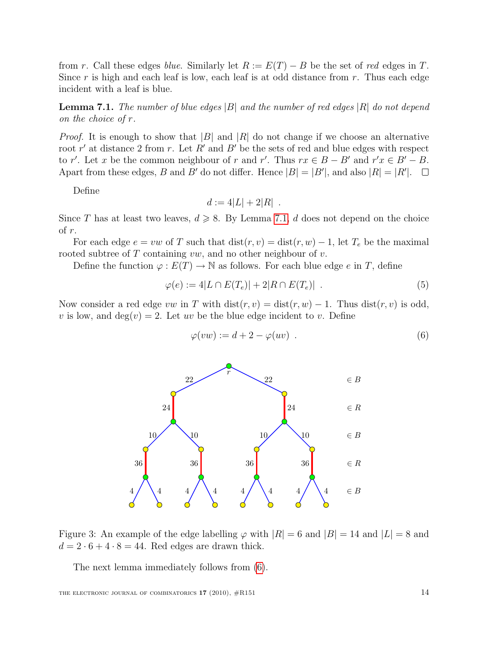from r. Call these edges blue. Similarly let  $R := E(T) - B$  be the set of red edges in T. Since r is high and each leaf is low, each leaf is at odd distance from r. Thus each edge incident with a leaf is blue.

<span id="page-13-0"></span>**Lemma 7.1.** The number of blue edges |B| and the number of red edges |R| do not depend on the choice of r.

*Proof.* It is enough to show that  $|B|$  and  $|R|$  do not change if we choose an alternative root r' at distance 2 from r. Let R' and B' be the sets of red and blue edges with respect to r'. Let x be the common neighbour of r and r'. Thus  $rx \in B - B'$  and  $r'x \in B' - B$ . Apart from these edges, B and B' do not differ. Hence  $|B| = |B'|$ , and also  $|R| = |R'|$ .

Define

$$
d := 4|L| + 2|R|.
$$

Since T has at least two leaves,  $d \geq 8$ . By Lemma [7.1,](#page-13-0) d does not depend on the choice of r.

For each edge  $e = vw$  of T such that  $dist(r, v) = dist(r, w) - 1$ , let  $T_e$  be the maximal rooted subtree of  $T$  containing  $vw$ , and no other neighbour of  $v$ .

Define the function  $\varphi : E(T) \to \mathbb{N}$  as follows. For each blue edge e in T, define

<span id="page-13-2"></span>
$$
\varphi(e) := 4|L \cap E(T_e)| + 2|R \cap E(T_e)| \tag{5}
$$

Now consider a red edge vw in T with  $dist(r, v) = dist(r, w) - 1$ . Thus  $dist(r, v)$  is odd, v is low, and  $deg(v) = 2$ . Let uv be the blue edge incident to v. Define

<span id="page-13-1"></span>
$$
\varphi(vw) := d + 2 - \varphi(uv) . \tag{6}
$$



Figure 3: An example of the edge labelling  $\varphi$  with  $|R| = 6$  and  $|B| = 14$  and  $|L| = 8$  and  $d = 2 \cdot 6 + 4 \cdot 8 = 44$ . Red edges are drawn thick.

<span id="page-13-3"></span>The next lemma immediately follows from [\(6\)](#page-13-1).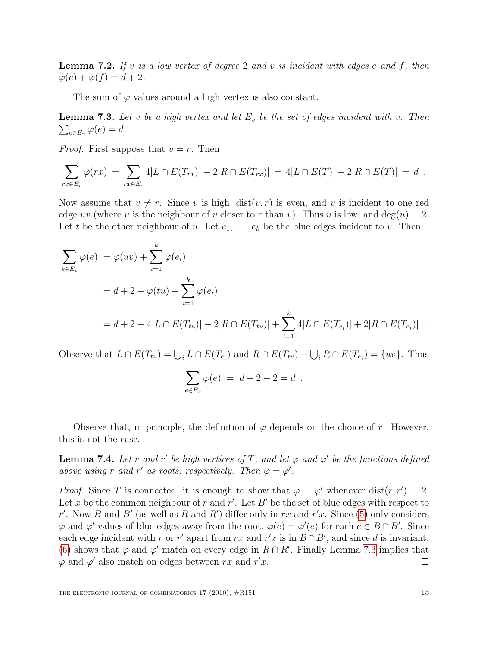**Lemma 7.2.** If v is a low vertex of degree 2 and v is incident with edges e and f, then  $\varphi(e) + \varphi(f) = d + 2.$ 

The sum of  $\varphi$  values around a high vertex is also constant.

<span id="page-14-0"></span> $\sum_{e \in E_v} \varphi(e) = d.$ **Lemma 7.3.** Let v be a high vertex and let  $E_v$  be the set of edges incident with v. Then

*Proof.* First suppose that  $v = r$ . Then

$$
\sum_{rx \in E_r} \varphi(rx) = \sum_{rx \in E_r} 4|L \cap E(T_{rx})| + 2|R \cap E(T_{rx})| = 4|L \cap E(T)| + 2|R \cap E(T)| = d.
$$

Now assume that  $v \neq r$ . Since v is high,  $dist(v, r)$  is even, and v is incident to one red edge uv (where u is the neighbour of v closer to r than v). Thus u is low, and  $deg(u) = 2$ . Let t be the other neighbour of u. Let  $e_1, \ldots, e_k$  be the blue edges incident to v. Then

$$
\sum_{e \in E_v} \varphi(e) = \varphi(uv) + \sum_{i=1}^k \varphi(e_i)
$$
  
=  $d + 2 - \varphi(tu) + \sum_{i=1}^k \varphi(e_i)$   
=  $d + 2 - 4|L \cap E(T_{tu})| - 2|R \cap E(T_{tu})| + \sum_{i=1}^k 4|L \cap E(T_{e_i})| + 2|R \cap E(T_{e_i})|$ .

Observe that  $L \cap E(T_{tu}) = \bigcup_i L \cap E(T_{e_i})$  and  $R \cap E(T_{tu}) - \bigcup_i R \cap E(T_{e_i}) = \{uv\}$ . Thus

$$
\sum_{e \in E_v} \varphi(e) \ = \ d + 2 - 2 = d \ .
$$

Observe that, in principle, the definition of  $\varphi$  depends on the choice of r. However, this is not the case.

<span id="page-14-1"></span>**Lemma 7.4.** Let r and r' be high vertices of T, and let  $\varphi$  and  $\varphi'$  be the functions defined above using r and r' as roots, respectively. Then  $\varphi = \varphi'$ .

<span id="page-14-2"></span>*Proof.* Since T is connected, it is enough to show that  $\varphi = \varphi'$  whenever dist $(r, r') = 2$ . Let x be the common neighbour of r and r'. Let B' be the set of blue edges with respect to r'. Now B and B' (as well as R and R') differ only in rx and r'x. Since [\(5\)](#page-13-2) only considers  $\varphi$  and  $\varphi'$  values of blue edges away from the root,  $\varphi(e) = \varphi'(e)$  for each  $e \in B \cap B'$ . Since each edge incident with r or r' apart from rx and r'x is in  $B \cap B'$ , and since d is invariant, [\(6\)](#page-13-1) shows that  $\varphi$  and  $\varphi'$  match on every edge in  $R \cap R'$ . Finally Lemma [7.3](#page-14-0) implies that  $\varphi$  and  $\varphi'$  also match on edges between rx and r'x.  $\Box$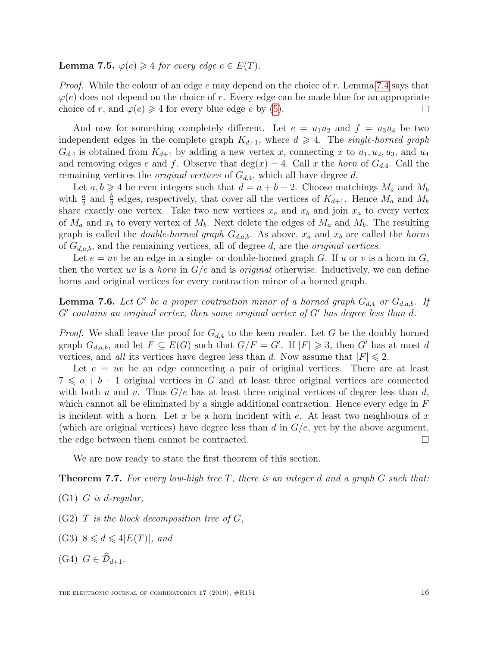**Lemma 7.5.**  $\varphi(e) \geq 4$  for every edge  $e \in E(T)$ .

*Proof.* While the colour of an edge  $e$  may depend on the choice of  $r$ , Lemma [7.4](#page-14-1) says that  $\varphi(e)$  does not depend on the choice of r. Every edge can be made blue for an appropriate choice of r, and  $\varphi(e) \geq 4$  for every blue edge e by [\(5\)](#page-13-2).  $\Box$ 

And now for something completely different. Let  $e = u_1 u_2$  and  $f = u_3 u_4$  be two independent edges in the complete graph  $K_{d+1}$ , where  $d \geq 4$ . The single-horned graph  $G_{d,4}$  is obtained from  $K_{d+1}$  by adding a new vertex x, connecting x to  $u_1, u_2, u_3$ , and  $u_4$ and removing edges e and f. Observe that  $deg(x) = 4$ . Call x the horn of  $G_{d,4}$ . Call the remaining vertices the *original vertices* of  $G_{d,4}$ , which all have degree d.

Let  $a, b \geq 4$  be even integers such that  $d = a + b - 2$ . Choose matchings  $M_a$  and  $M_b$ with  $\frac{a}{2}$  and  $\frac{b}{2}$  edges, respectively, that cover all the vertices of  $K_{d+1}$ . Hence  $M_a$  and  $M_b$ share exactly one vertex. Take two new vertices  $x_a$  and  $x_b$  and join  $x_a$  to every vertex of  $M_a$  and  $x_b$  to every vertex of  $M_b$ . Next delete the edges of  $M_a$  and  $M_b$ . The resulting graph is called the *double-horned graph*  $G_{d,a,b}$ . As above,  $x_a$  and  $x_b$  are called the *horns* of  $G_{d,a,b}$ , and the remaining vertices, all of degree d, are the *original vertices*.

Let  $e = uv$  be an edge in a single- or double-horned graph G. If u or v is a horn in G, then the vertex uv is a *horn* in  $G/e$  and is *original* otherwise. Inductively, we can define horns and original vertices for every contraction minor of a horned graph.

<span id="page-15-1"></span>**Lemma 7.6.** Let G' be a proper contraction minor of a horned graph  $G_{d,4}$  or  $G_{d,a,b}$ . If  $G'$  contains an original vertex, then some original vertex of  $G'$  has degree less than  $d$ .

*Proof.* We shall leave the proof for  $G_{d,4}$  to the keen reader. Let G be the doubly horned graph  $G_{d,a,b}$ , and let  $F \subseteq E(G)$  such that  $G/F = G'$ . If  $|F| \geq 3$ , then G' has at most d vertices, and all its vertices have degree less than d. Now assume that  $|F| \leq 2$ .

Let  $e = uv$  be an edge connecting a pair of original vertices. There are at least  $7 \leq a + b - 1$  original vertices in G and at least three original vertices are connected with both u and v. Thus  $G/e$  has at least three original vertices of degree less than d, which cannot all be eliminated by a single additional contraction. Hence every edge in  $F$ is incident with a horn. Let x be a horn incident with e. At least two neighbours of x (which are original vertices) have degree less than d in  $G/e$ , yet by the above argument, the edge between them cannot be contracted.  $\Box$ 

We are now ready to state the first theorem of this section.

<span id="page-15-0"></span>**Theorem 7.7.** For every low-high tree  $T$ , there is an integer d and a graph  $G$  such that:

- $(G1)$  G is d-regular,
- $(G2)$  T is the block decomposition tree of G,
- (G3)  $8 \leq d \leq 4|E(T)|$ , and
- (G4)  $G \in \widehat{\mathcal{D}}_{d+1}$ .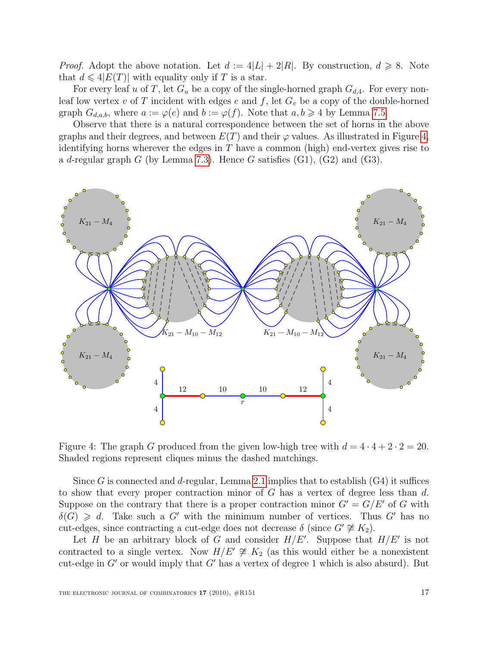*Proof.* Adopt the above notation. Let  $d := 4|L| + 2|R|$ . By construction,  $d \ge 8$ . Note that  $d \leq 4|E(T)|$  with equality only if T is a star.

For every leaf u of T, let  $G_u$  be a copy of the single-horned graph  $G_{d,4}$ . For every nonleaf low vertex v of T incident with edges e and f, let  $G_v$  be a copy of the double-horned graph  $G_{d,a,b}$ , where  $a := \varphi(e)$  and  $b := \varphi(f)$ . Note that  $a, b \geq 4$  by Lemma [7.5.](#page-14-2)

Observe that there is a natural correspondence between the set of horns in the above graphs and their degrees, and between  $E(T)$  and their  $\varphi$  values. As illustrated in Figure [4,](#page-16-0) identifying horns wherever the edges in  $T$  have a common (high) end-vertex gives rise to a d-regular graph G (by Lemma [7.3\)](#page-14-0). Hence G satisfies  $(G1)$ ,  $(G2)$  and  $(G3)$ .



<span id="page-16-0"></span>Figure 4: The graph G produced from the given low-high tree with  $d = 4 \cdot 4 + 2 \cdot 2 = 20$ . Shaded regions represent cliques minus the dashed matchings.

Since G is connected and d-regular, Lemma [2.1](#page-2-2) implies that to establish  $(G4)$  it suffices to show that every proper contraction minor of  $G$  has a vertex of degree less than  $d$ . Suppose on the contrary that there is a proper contraction minor  $G' = G/E'$  of G with  $\delta(G) \geq d$ . Take such a G' with the minimum number of vertices. Thus G' has no cut-edges, since contracting a cut-edge does not decrease  $\delta$  (since  $G' \not\cong K_2$ ).

Let H be an arbitrary block of G and consider  $H/E'$ . Suppose that  $H/E'$  is not contracted to a single vertex. Now  $H/E' \not\cong K_2$  (as this would either be a nonexistent cut-edge in  $G'$  or would imply that  $G'$  has a vertex of degree 1 which is also absurd). But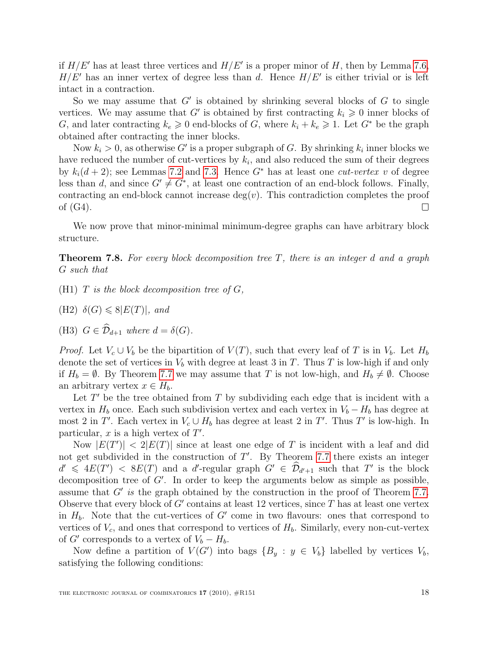if  $H/E'$  has at least three vertices and  $H/E'$  is a proper minor of H, then by Lemma [7.6,](#page-15-1)  $H/E'$  has an inner vertex of degree less than d. Hence  $H/E'$  is either trivial or is left intact in a contraction.

So we may assume that  $G'$  is obtained by shrinking several blocks of  $G$  to single vertices. We may assume that G' is obtained by first contracting  $k_i \geq 0$  inner blocks of G, and later contracting  $k_e \geq 0$  end-blocks of G, where  $k_i + k_e \geq 1$ . Let  $G^*$  be the graph obtained after contracting the inner blocks.

Now  $k_i > 0$ , as otherwise G' is a proper subgraph of G. By shrinking  $k_i$  inner blocks we have reduced the number of cut-vertices by  $k_i$ , and also reduced the sum of their degrees by  $k_i(d+2)$ ; see Lemmas [7.2](#page-13-3) and [7.3.](#page-14-0) Hence  $G^*$  has at least one *cut-vertex v* of degree less than d, and since  $G' \neq G^*$ , at least one contraction of an end-block follows. Finally, contracting an end-block cannot increase  $deg(v)$ . This contradiction completes the proof of (G4).  $\Box$ 

We now prove that minor-minimal minimum-degree graphs can have arbitrary block structure.

<span id="page-17-0"></span>**Theorem 7.8.** For every block decomposition tree  $T$ , there is an integer d and a graph G such that

- (H1)  $T$  is the block decomposition tree of  $G$ ,
- (H2)  $\delta(G) \leq 8|E(T)|$ , and
- (H3)  $G \in \widehat{\mathcal{D}}_{d+1}$  where  $d = \delta(G)$ .

*Proof.* Let  $V_c \cup V_b$  be the bipartition of  $V(T)$ , such that every leaf of T is in  $V_b$ . Let  $H_b$ denote the set of vertices in  $V_b$  with degree at least 3 in T. Thus T is low-high if and only if  $H_b = \emptyset$ . By Theorem [7.7](#page-15-0) we may assume that T is not low-high, and  $H_b \neq \emptyset$ . Choose an arbitrary vertex  $x \in H_b$ .

Let  $T'$  be the tree obtained from  $T$  by subdividing each edge that is incident with a vertex in  $H_b$  once. Each such subdivision vertex and each vertex in  $V_b - H_b$  has degree at most 2 in T'. Each vertex in  $V_c \cup H_b$  has degree at least 2 in T'. Thus T' is low-high. In particular,  $x$  is a high vertex of  $T'$ .

Now  $|E(T')| < 2|E(T)|$  since at least one edge of T is incident with a leaf and did not get subdivided in the construction of  $T'$ . By Theorem [7.7](#page-15-0) there exists an integer  $d' \leq 4E(T') \leq 8E(T)$  and a d'-regular graph  $G' \in \widehat{\mathcal{D}}_{d'+1}$  such that T' is the block decomposition tree of  $G'$ . In order to keep the arguments below as simple as possible, assume that  $G'$  is the graph obtained by the construction in the proof of Theorem [7.7.](#page-15-0) Observe that every block of  $G'$  contains at least 12 vertices, since  $T$  has at least one vertex in  $H_b$ . Note that the cut-vertices of  $G'$  come in two flavours: ones that correspond to vertices of  $V_c$ , and ones that correspond to vertices of  $H_b$ . Similarly, every non-cut-vertex of  $G'$  corresponds to a vertex of  $V_b - H_b$ .

Now define a partition of  $V(G')$  into bags  $\{B_y : y \in V_b\}$  labelled by vertices  $V_b$ , satisfying the following conditions: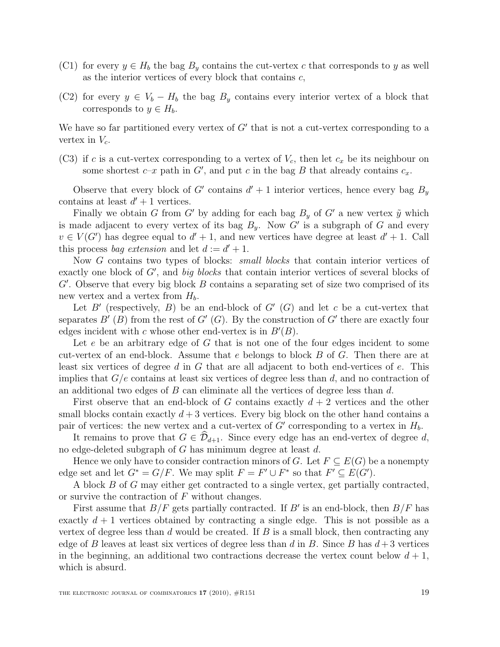- (C1) for every  $y \in H_b$  the bag  $B_y$  contains the cut-vertex c that corresponds to y as well as the interior vertices of every block that contains  $c$ ,
- (C2) for every  $y \in V_b H_b$  the bag  $B_y$  contains every interior vertex of a block that corresponds to  $y \in H_b$ .

We have so far partitioned every vertex of  $G'$  that is not a cut-vertex corresponding to a vertex in  $V_c$ .

(C3) if c is a cut-vertex corresponding to a vertex of  $V_c$ , then let  $c_x$  be its neighbour on some shortest  $c-x$  path in G', and put c in the bag B that already contains  $c_x$ .

Observe that every block of G' contains  $d' + 1$  interior vertices, hence every bag  $B_y$ contains at least  $d' + 1$  vertices.

Finally we obtain G from G' by adding for each bag  $B_y$  of G' a new vertex  $\tilde{y}$  which is made adjacent to every vertex of its bag  $B_y$ . Now G' is a subgraph of G and every  $v \in V(G')$  has degree equal to  $d' + 1$ , and new vertices have degree at least  $d' + 1$ . Call this process *bag extension* and let  $d := d' + 1$ .

Now G contains two types of blocks: *small blocks* that contain interior vertices of exactly one block of  $G'$ , and big blocks that contain interior vertices of several blocks of  $G'$ . Observe that every big block  $B$  contains a separating set of size two comprised of its new vertex and a vertex from  $H_b$ .

Let  $B'$  (respectively,  $B$ ) be an end-block of  $G'$  (G) and let c be a cut-vertex that separates  $B'(B)$  from the rest of  $G'(G)$ . By the construction of  $G'$  there are exactly four edges incident with c whose other end-vertex is in  $B'(B)$ .

Let e be an arbitrary edge of G that is not one of the four edges incident to some cut-vertex of an end-block. Assume that e belongs to block B of G. Then there are at least six vertices of degree d in  $G$  that are all adjacent to both end-vertices of  $e$ . This implies that  $G/e$  contains at least six vertices of degree less than d, and no contraction of an additional two edges of  $B$  can eliminate all the vertices of degree less than  $d$ .

First observe that an end-block of G contains exactly  $d+2$  vertices and the other small blocks contain exactly  $d+3$  vertices. Every big block on the other hand contains a pair of vertices: the new vertex and a cut-vertex of  $G'$  corresponding to a vertex in  $H_b$ .

It remains to prove that  $G \in \mathcal{D}_{d+1}$ . Since every edge has an end-vertex of degree d, no edge-deleted subgraph of G has minimum degree at least d.

Hence we only have to consider contraction minors of G. Let  $F \subseteq E(G)$  be a nonempty edge set and let  $G^* = G/F$ . We may split  $F = F' \cup F^*$  so that  $F' \subseteq E(G')$ .

A block B of G may either get contracted to a single vertex, get partially contracted, or survive the contraction of F without changes.

First assume that  $B/F$  gets partially contracted. If B' is an end-block, then  $B/F$  has exactly  $d+1$  vertices obtained by contracting a single edge. This is not possible as a vertex of degree less than d would be created. If  $B$  is a small block, then contracting any edge of B leaves at least six vertices of degree less than d in B. Since B has  $d+3$  vertices in the beginning, an additional two contractions decrease the vertex count below  $d+1$ , which is absurd.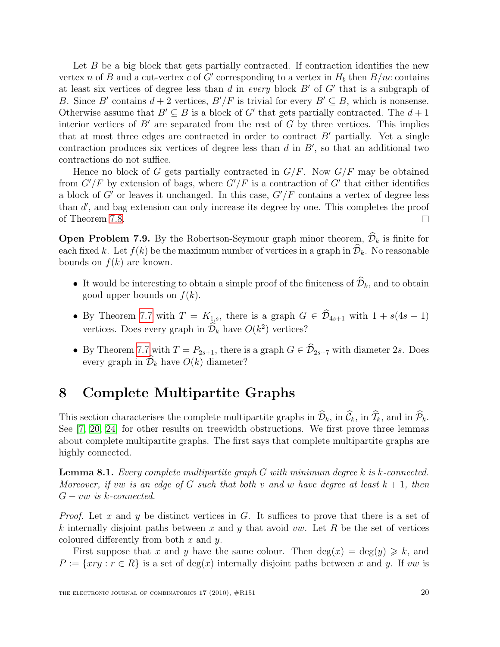Let  $B$  be a big block that gets partially contracted. If contraction identifies the new vertex n of B and a cut-vertex c of G' corresponding to a vertex in  $H_b$  then  $B/nc$  contains at least six vertices of degree less than  $d$  in every block  $B'$  of  $G'$  that is a subgraph of B. Since B' contains  $d + 2$  vertices,  $B'/F$  is trivial for every  $B' \subseteq B$ , which is nonsense. Otherwise assume that  $B' \subseteq B$  is a block of G' that gets partially contracted. The  $d+1$ interior vertices of  $B'$  are separated from the rest of  $G$  by three vertices. This implies that at most three edges are contracted in order to contract  $B'$  partially. Yet a single contraction produces six vertices of degree less than  $d$  in  $B'$ , so that an additional two contractions do not suffice.

Hence no block of G gets partially contracted in  $G/F$ . Now  $G/F$  may be obtained from  $G'/F$  by extension of bags, where  $G'/F$  is a contraction of  $G'$  that either identifies a block of  $G'$  or leaves it unchanged. In this case,  $G'/F$  contains a vertex of degree less than  $d'$ , and bag extension can only increase its degree by one. This completes the proof of Theorem [7.8.](#page-17-0)  $\Box$ 

**Open Problem 7.9.** By the Robertson-Seymour graph minor theorem,  $\widehat{\mathcal{D}}_k$  is finite for each fixed k. Let  $f(k)$  be the maximum number of vertices in a graph in  $\mathcal{D}_k$ . No reasonable bounds on  $f(k)$  are known.

- It would be interesting to obtain a simple proof of the finiteness of  $\widehat{\mathcal{D}}_k$ , and to obtain good upper bounds on  $f(k)$ .
- By Theorem [7.7](#page-15-0) with  $T = K_{1,s}$ , there is a graph  $G \in \widehat{\mathcal{D}}_{4s+1}$  with  $1 + s(4s + 1)$ vertices. Does every graph in  $\mathcal{D}_k$  have  $O(k^2)$  vertices?
- By Theorem [7.7](#page-15-0) with  $T = P_{2s+1}$ , there is a graph  $G \in \widehat{\mathcal{D}}_{2s+7}$  with diameter 2s. Does every graph in  $\mathcal{D}_k$  have  $O(k)$  diameter?

### <span id="page-19-0"></span>8 Complete Multipartite Graphs

This section characterises the complete multipartite graphs in  $\widehat{\mathcal{D}}_k$ , in  $\widehat{\mathcal{C}}_k$ , and in  $\widehat{\mathcal{P}}_k$ . See [\[7,](#page-26-14) [20,](#page-27-8) [24\]](#page-27-9) for other results on treewidth obstructions. We first prove three lemmas about complete multipartite graphs. The first says that complete multipartite graphs are highly connected.

<span id="page-19-1"></span>Lemma 8.1. Every complete multipartite graph G with minimum degree k is k-connected. Moreover, if vw is an edge of G such that both v and w have degree at least  $k + 1$ , then  $G - vw$  is k-connected.

*Proof.* Let x and y be distinct vertices in G. It suffices to prove that there is a set of k internally disjoint paths between x and y that avoid vw. Let R be the set of vertices coloured differently from both  $x$  and  $y$ .

First suppose that x and y have the same colour. Then  $deg(x) = deg(y) \geq k$ , and  $P := \{xry : r \in R\}$  is a set of  $deg(x)$  internally disjoint paths between x and y. If vw is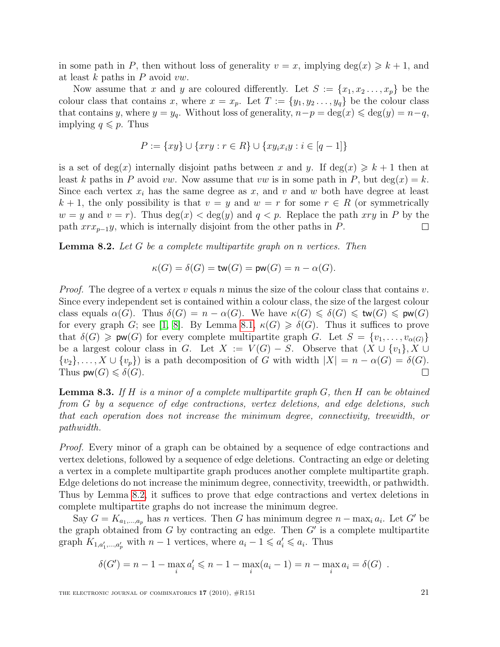in some path in P, then without loss of generality  $v = x$ , implying  $\deg(x) \geq k + 1$ , and at least  $k$  paths in  $P$  avoid  $vw$ .

Now assume that x and y are coloured differently. Let  $S := \{x_1, x_2, \ldots, x_p\}$  be the colour class that contains x, where  $x = x_p$ . Let  $T := \{y_1, y_2, \ldots, y_q\}$  be the colour class that contains y, where  $y = y_q$ . Without loss of generality,  $n - p = \deg(x) \leq \deg(y) = n - q$ , implying  $q \leq p$ . Thus

$$
P := \{xy\} \cup \{xry : r \in R\} \cup \{xy_ix_iy : i \in [q-1]\}
$$

is a set of deg(x) internally disjoint paths between x and y. If deg(x)  $\geq k+1$  then at least k paths in P avoid vw. Now assume that vw is in some path in P, but deg(x) = k. Since each vertex  $x_i$  has the same degree as  $x$ , and  $v$  and  $w$  both have degree at least  $k + 1$ , the only possibility is that  $v = y$  and  $w = r$  for some  $r \in R$  (or symmetrically  $w = y$  and  $v = r$ ). Thus  $deg(x) < deg(y)$  and  $q < p$ . Replace the path xry in P by the path  $xrx_{p-1}y$ , which is internally disjoint from the other paths in P.  $\Box$ 

<span id="page-20-0"></span>**Lemma 8.2.** Let  $G$  be a complete multipartite graph on n vertices. Then

$$
\kappa(G) = \delta(G) = \mathsf{tw}(G) = \mathsf{pw}(G) = n - \alpha(G).
$$

*Proof.* The degree of a vertex v equals n minus the size of the colour class that contains v. Since every independent set is contained within a colour class, the size of the largest colour class equals  $\alpha(G)$ . Thus  $\delta(G) = n - \alpha(G)$ . We have  $\kappa(G) \leq \delta(G) \leq \text{tw}(G) \leq \text{pw}(G)$ for every graph G; see [\[1,](#page-25-1) [8\]](#page-26-5). By Lemma [8.1,](#page-19-1)  $\kappa(G) \geq \delta(G)$ . Thus it suffices to prove that  $\delta(G) \geq \mathsf{pw}(G)$  for every complete multipartite graph G. Let  $S = \{v_1, \ldots, v_{\alpha(G)}\}$ be a largest colour class in G. Let  $X := V(G) - S$ . Observe that  $(X \cup \{v_1\}, X \cup$  $\{v_2\},\ldots,X\cup\{v_p\}\)$  is a path decomposition of G with width  $|X|=n-\alpha(G)=\delta(G).$ Thus  $\mathsf{pw}(G) \leq \delta(G)$ .  $\Box$ 

<span id="page-20-1"></span>**Lemma 8.3.** If H is a minor of a complete multipartite graph  $G$ , then H can be obtained from G by a sequence of edge contractions, vertex deletions, and edge deletions, such that each operation does not increase the minimum degree, connectivity, treewidth, or pathwidth.

Proof. Every minor of a graph can be obtained by a sequence of edge contractions and vertex deletions, followed by a sequence of edge deletions. Contracting an edge or deleting a vertex in a complete multipartite graph produces another complete multipartite graph. Edge deletions do not increase the minimum degree, connectivity, treewidth, or pathwidth. Thus by Lemma [8.2,](#page-20-0) it suffices to prove that edge contractions and vertex deletions in complete multipartite graphs do not increase the minimum degree.

Say  $G = K_{a_1,...,a_p}$  has n vertices. Then G has minimum degree  $n - \max_i a_i$ . Let G' be the graph obtained from  $G$  by contracting an edge. Then  $G'$  is a complete multipartite graph  $K_{1,a'_1,...,a'_p}$  with  $n-1$  vertices, where  $a_i-1 \leqslant a'_i \leqslant a_i$ . Thus

$$
\delta(G') = n - 1 - \max_{i} a'_i \leq n - 1 - \max_{i} (a_i - 1) = n - \max_{i} a_i = \delta(G) .
$$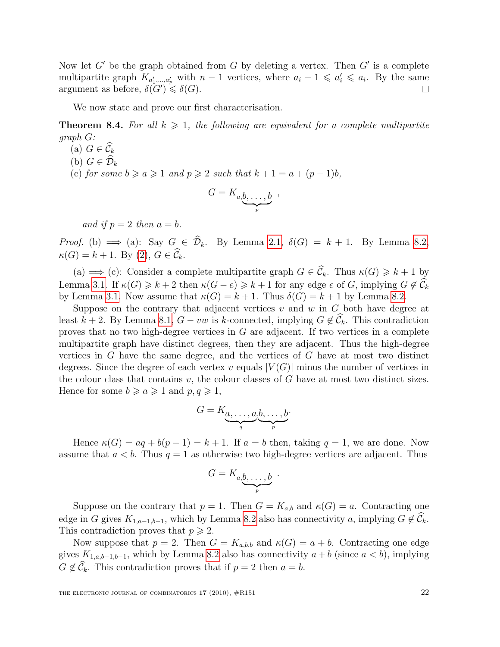Now let  $G'$  be the graph obtained from G by deleting a vertex. Then  $G'$  is a complete multipartite graph  $K_{a'_1,...,a'_p}$  with  $n-1$  vertices, where  $a_i-1 \leqslant a'_i \leqslant a_i$ . By the same argument as before,  $\delta(G') \leq \delta(G)$ .  $\Box$ 

We now state and prove our first characterisation.

<span id="page-21-0"></span>**Theorem 8.4.** For all  $k \geq 1$ , the following are equivalent for a complete multipartite graph G:

- (a)  $G \in \widehat{\mathcal{C}}_k$
- (b)  $G \in \mathcal{D}_k$
- (c) for some  $b \ge a \ge 1$  and  $p \ge 2$  such that  $k + 1 = a + (p 1)b$ ,

$$
G=K_{a,\underbrace{b,\ldots,b}_{p}}\;,
$$

and if  $p = 2$  then  $a = b$ .

Proof. (b)  $\implies$  (a): Say  $G \in \hat{\mathcal{D}}_k$ . By Lemma [2.1,](#page-2-2)  $\delta(G) = k + 1$ . By Lemma [8.2,](#page-20-0)  $\kappa(G) = k + 1$ . By [\(2\)](#page-7-1),  $G \in \widehat{C}_k$ .

(a)  $\implies$  (c): Consider a complete multipartite graph  $G \in \widehat{\mathcal{C}}_k$ . Thus  $\kappa(G) \geq k+1$  by Lemma [3.1.](#page-6-2) If  $\kappa(G) \geq k+2$  then  $\kappa(G-e) \geq k+1$  for any edge e of G, implying  $G \notin \widehat{\mathcal{C}}_k$ by Lemma [3.1.](#page-6-2) Now assume that  $\kappa(G) = k + 1$ . Thus  $\delta(G) = k + 1$  by Lemma [8.2.](#page-20-0)

Suppose on the contrary that adjacent vertices  $v$  and  $w$  in  $G$  both have degree at least k + 2. By Lemma [8.1,](#page-19-1)  $G - vw$  is k-connected, implying  $G \notin \widehat{C}_k$ . This contradiction proves that no two high-degree vertices in G are adjacent. If two vertices in a complete multipartite graph have distinct degrees, then they are adjacent. Thus the high-degree vertices in G have the same degree, and the vertices of G have at most two distinct degrees. Since the degree of each vertex v equals  $|V(G)|$  minus the number of vertices in the colour class that contains  $v$ , the colour classes of  $G$  have at most two distinct sizes. Hence for some  $b \ge a \ge 1$  and  $p, q \ge 1$ ,

$$
G = K_{\underbrace{a, \ldots, a, b, \ldots, b}_{q}}.
$$

Hence  $\kappa(G) = aq + b(p-1) = k+1$ . If  $a = b$  then, taking  $q = 1$ , we are done. Now assume that  $a < b$ . Thus  $q = 1$  as otherwise two high-degree vertices are adjacent. Thus

$$
G=K_{a,\underbrace{b,\ldots,b}_{p}}.
$$

Suppose on the contrary that  $p = 1$ . Then  $G = K_{a,b}$  and  $\kappa(G) = a$ . Contracting one edge in G gives  $K_{1,a-1,b-1}$ , which by Lemma [8.2](#page-20-0) also has connectivity a, implying  $G \notin \widehat{\mathcal{C}}_k$ . This contradiction proves that  $p \geq 2$ .

Now suppose that  $p = 2$ . Then  $G = K_{a,b,b}$  and  $\kappa(G) = a + b$ . Contracting one edge gives  $K_{1,a,b-1,b-1}$ , which by Lemma [8.2](#page-20-0) also has connectivity  $a + b$  (since  $a < b$ ), implying  $G \notin \widehat{C}_k$ . This contradiction proves that if  $p = 2$  then  $a = b$ .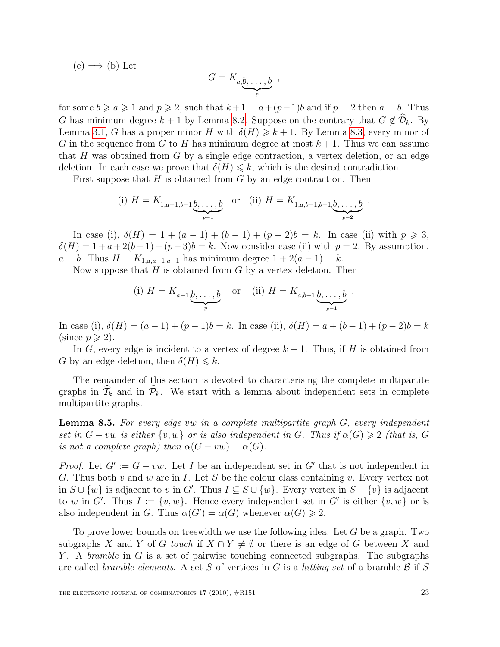(c) 
$$
\Longrightarrow
$$
 (b) Let 
$$
G=K_{a,\underbrace{b,\ldots,b}_{p}}\ ,
$$

for some  $b \ge a \ge 1$  and  $p \ge 2$ , such that  $k+1 = a+(p-1)b$  and if  $p = 2$  then  $a = b$ . Thus G has minimum degree  $k + 1$  by Lemma [8.2.](#page-20-0) Suppose on the contrary that  $G \notin \widehat{\mathcal{D}}_k$ . By Lemma [3.1,](#page-6-2) G has a proper minor H with  $\delta(H) \geq k + 1$ . By Lemma [8.3,](#page-20-1) every minor of G in the sequence from G to H has minimum degree at most  $k+1$ . Thus we can assume that H was obtained from G by a single edge contraction, a vertex deletion, or an edge deletion. In each case we prove that  $\delta(H) \leq k$ , which is the desired contradiction.

First suppose that  $H$  is obtained from  $G$  by an edge contraction. Then

(i) 
$$
H = K_{1,a-1,b-1} \underbrace{b,\ldots,b}_{p-1}
$$
 or (ii)  $H = K_{1,a,b-1,b-1} \underbrace{b,\ldots,b}_{p-2}$ .

In case (i),  $\delta(H) = 1 + (a - 1) + (b - 1) + (p - 2)b = k$ . In case (ii) with  $p \ge 3$ ,  $\delta(H) = 1 + a + 2(b-1) + (p-3)b = k$ . Now consider case (ii) with  $p = 2$ . By assumption,  $a = b$ . Thus  $H = K_{1,a,a-1,a-1}$  has minimum degree  $1 + 2(a - 1) = k$ .

Now suppose that  $H$  is obtained from  $G$  by a vertex deletion. Then

(i) 
$$
H = K_{a-1, \underbrace{b, \dots, b}_{p}}
$$
 or (ii)  $H = K_{a, b-1, \underbrace{b, \dots, b}_{p-1}}$ 

.

In case (i),  $\delta(H) = (a-1) + (p-1)b = k$ . In case (ii),  $\delta(H) = a + (b-1) + (p-2)b = k$ (since  $p \geqslant 2$ ).

In G, every edge is incident to a vertex of degree  $k + 1$ . Thus, if H is obtained from G by an edge deletion, then  $\delta(H) \leq k$ .  $\Box$ 

The remainder of this section is devoted to characterising the complete multipartite graphs in  $\widehat{T}_k$  and in  $\widehat{\mathcal{P}}_k$ . We start with a lemma about independent sets in complete multipartite graphs.

<span id="page-22-0"></span>**Lemma 8.5.** For every edge vw in a complete multipartite graph  $G$ , every independent set in  $G - vw$  is either  $\{v, w\}$  or is also independent in G. Thus if  $\alpha(G) \geq 2$  (that is, G is not a complete graph) then  $\alpha(G - vw) = \alpha(G)$ .

*Proof.* Let  $G' := G - vw$ . Let I be an independent set in G' that is not independent in G. Thus both v and w are in I. Let S be the colour class containing v. Every vertex not in  $S \cup \{w\}$  is adjacent to v in G'. Thus  $I \subseteq S \cup \{w\}$ . Every vertex in  $S - \{v\}$  is adjacent to w in G'. Thus  $I := \{v, w\}$ . Hence every independent set in G' is either  $\{v, w\}$  or is also independent in G. Thus  $\alpha(G') = \alpha(G)$  whenever  $\alpha(G) \geq 2$ .  $\Box$ 

To prove lower bounds on treewidth we use the following idea. Let G be a graph. Two subgraphs X and Y of G touch if  $X \cap Y \neq \emptyset$  or there is an edge of G between X and Y. A *bramble* in G is a set of pairwise touching connected subgraphs. The subgraphs are called bramble elements. A set S of vertices in G is a hitting set of a bramble  $\mathcal{B}$  if S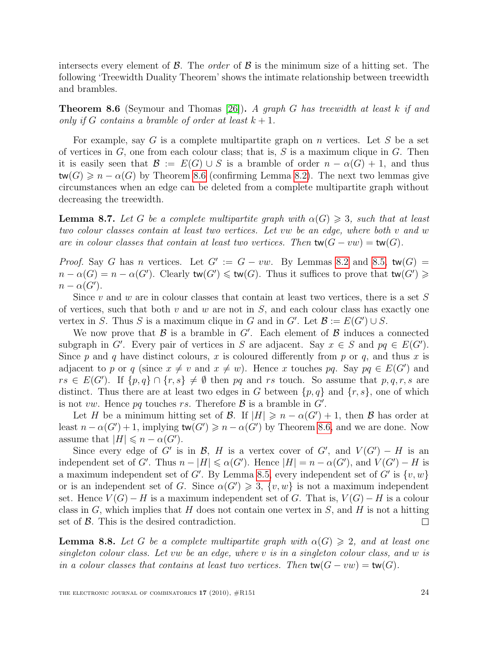intersects every element of  $\beta$ . The *order* of  $\beta$  is the minimum size of a hitting set. The following 'Treewidth Duality Theorem' shows the intimate relationship between treewidth and brambles.

<span id="page-23-0"></span>**Theorem 8.6** (Seymour and Thomas [\[26\]](#page-27-10)). A graph G has treewidth at least k if and only if G contains a bramble of order at least  $k + 1$ .

For example, say G is a complete multipartite graph on n vertices. Let S be a set of vertices in  $G$ , one from each colour class; that is,  $S$  is a maximum clique in  $G$ . Then it is easily seen that  $\mathcal{B} := E(G) \cup S$  is a bramble of order  $n - \alpha(G) + 1$ , and thus  $\text{tw}(G) \geqslant n - \alpha(G)$  by Theorem [8.6](#page-23-0) (confirming Lemma [8.2\)](#page-20-0). The next two lemmas give circumstances when an edge can be deleted from a complete multipartite graph without decreasing the treewidth.

<span id="page-23-2"></span>**Lemma 8.7.** Let G be a complete multipartite graph with  $\alpha(G) \geq 3$ , such that at least two colour classes contain at least two vertices. Let vw be an edge, where both v and w are in colour classes that contain at least two vertices. Then  $tw(G - vw) = tw(G)$ .

*Proof.* Say G has n vertices. Let  $G' := G - vw$ . By Lemmas [8.2](#page-20-0) and [8.5,](#page-22-0) tw(G) =  $n - \alpha(G) = n - \alpha(G')$ . Clearly  $\text{tw}(G') \leq \text{tw}(G)$ . Thus it suffices to prove that  $\text{tw}(G') \geq$  $n - \alpha(G')$ .

Since v and w are in colour classes that contain at least two vertices, there is a set S of vertices, such that both  $v$  and  $w$  are not in  $S$ , and each colour class has exactly one vertex in S. Thus S is a maximum clique in G and in G'. Let  $\mathcal{B} := E(G') \cup S$ .

We now prove that  $\mathcal B$  is a bramble in  $G'$ . Each element of  $\mathcal B$  induces a connected subgraph in G'. Every pair of vertices in S are adjacent. Say  $x \in S$  and  $pq \in E(G')$ . Since p and q have distinct colours, x is coloured differently from p or q, and thus x is adjacent to p or q (since  $x \neq v$  and  $x \neq w$ ). Hence x touches pq. Say  $pq \in E(G')$  and  $rs \in E(G')$ . If  $\{p,q\} \cap \{r,s\} \neq \emptyset$  then pq and rs touch. So assume that  $p,q,r,s$  are distinct. Thus there are at least two edges in G between  $\{p, q\}$  and  $\{r, s\}$ , one of which is not vw. Hence pq touches rs. Therefore  $\beta$  is a bramble in  $G'$ .

Let H be a minimum hitting set of B. If  $|H| \geq n - \alpha(G') + 1$ , then B has order at least  $n - \alpha(G') + 1$ , implying  $\text{tw}(G') \geq n - \alpha(G')$  by Theorem [8.6,](#page-23-0) and we are done. Now assume that  $|H| \leq n - \alpha(G')$ .

Since every edge of G' is in B, H is a vertex cover of G', and  $V(G') - H$  is an independent set of G'. Thus  $n - |H| \le \alpha(G')$ . Hence  $|H| = n - \alpha(G')$ , and  $V(G') - H$  is a maximum independent set of G'. By Lemma [8.5,](#page-22-0) every independent set of G' is  $\{v, w\}$ or is an independent set of G. Since  $\alpha(G') \geq 3$ ,  $\{v, w\}$  is not a maximum independent set. Hence  $V(G) - H$  is a maximum independent set of G. That is,  $V(G) - H$  is a colour class in G, which implies that H does not contain one vertex in  $S$ , and H is not a hitting set of  $\beta$ . This is the desired contradiction.  $\Box$ 

<span id="page-23-1"></span>**Lemma 8.8.** Let G be a complete multipartite graph with  $\alpha(G) \geq 2$ , and at least one singleton colour class. Let vw be an edge, where v is in a singleton colour class, and w is in a colour classes that contains at least two vertices. Then  $tw(G - vw) = tw(G)$ .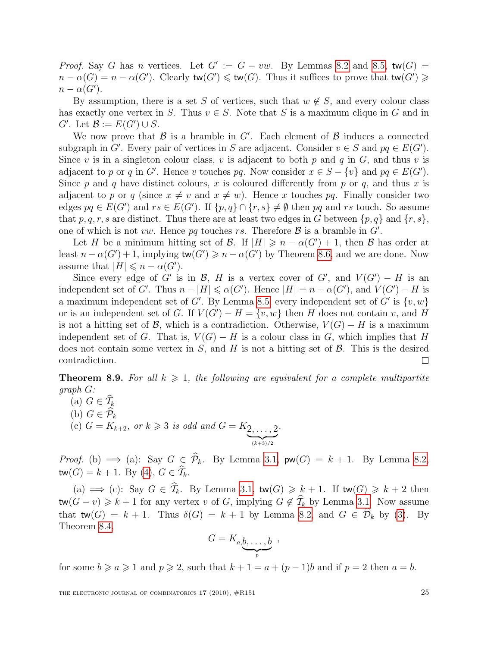*Proof.* Say G has n vertices. Let  $G' := G - vw$ . By Lemmas [8.2](#page-20-0) and [8.5,](#page-22-0) tw(G) =  $n - \alpha(G) = n - \alpha(G')$ . Clearly  $\text{tw}(G') \leq \text{tw}(G)$ . Thus it suffices to prove that  $\text{tw}(G') \geq$  $n - \alpha(G')$ .

By assumption, there is a set S of vertices, such that  $w \notin S$ , and every colour class has exactly one vertex in S. Thus  $v \in S$ . Note that S is a maximum clique in G and in  $G'$ . Let  $\mathcal{B} := E(G') \cup S$ .

We now prove that  $\mathcal B$  is a bramble in  $G'$ . Each element of  $\mathcal B$  induces a connected subgraph in G'. Every pair of vertices in S are adjacent. Consider  $v \in S$  and  $pq \in E(G')$ . Since v is in a singleton colour class, v is adjacent to both  $p$  and  $q$  in  $G$ , and thus v is adjacent to p or q in G'. Hence v touches pq. Now consider  $x \in S - \{v\}$  and  $pq \in E(G')$ . Since p and q have distinct colours, x is coloured differently from p or q, and thus x is adjacent to p or q (since  $x \neq v$  and  $x \neq w$ ). Hence x touches pq. Finally consider two edges  $pq \in E(G')$  and  $rs \in E(G')$ . If  $\{p,q\} \cap \{r,s\} \neq \emptyset$  then pq and rs touch. So assume that p, q, r, s are distinct. Thus there are at least two edges in G between  $\{p, q\}$  and  $\{r, s\}$ , one of which is not vw. Hence pq touches rs. Therefore  $\mathcal{B}$  is a bramble in  $G'$ .

Let H be a minimum hitting set of B. If  $|H| \geq n - \alpha(G') + 1$ , then B has order at least  $n - \alpha(G') + 1$ , implying  $\text{tw}(G') \geq n - \alpha(G')$  by Theorem [8.6,](#page-23-0) and we are done. Now assume that  $|H| \leq n - \alpha(G')$ .

Since every edge of G' is in B, H is a vertex cover of G', and  $V(G') - H$  is an independent set of G'. Thus  $n - |H| \le \alpha(G')$ . Hence  $|H| = n - \alpha(G')$ , and  $V(G') - H$  is a maximum independent set of G'. By Lemma [8.5,](#page-22-0) every independent set of G' is  $\{v, w\}$ or is an independent set of G. If  $V(G') - H = \{v, w\}$  then H does not contain v, and H is not a hitting set of B, which is a contradiction. Otherwise,  $V(G) - H$  is a maximum independent set of G. That is,  $V(G) - H$  is a colour class in G, which implies that H does not contain some vertex in  $S$ , and  $H$  is not a hitting set of  $\beta$ . This is the desired contradiction.  $\Box$ 

<span id="page-24-0"></span>**Theorem 8.9.** For all  $k \geq 1$ , the following are equivalent for a complete multipartite graph G:

(a)  $G \in \widehat{T}_k$ <br>(b)  $G \in \widehat{\mathcal{P}}_k$ (b)  $G \in \mathcal{P}_k$ (c)  $G = K_{k+2}$ , or  $k \geqslant 3$  is odd and  $G = K_{2}, \ldots, 2$  $(k+3)/2$ .

*Proof.* (b)  $\implies$  (a): Say  $G \in \hat{\mathcal{P}}_k$ . By Lemma [3.1,](#page-6-2)  $\mathsf{pw}(G) = k + 1$ . By Lemma [8.2,](#page-20-0)  $tw(G) = k + 1$ . By [\(4\)](#page-7-2),  $G \in \widehat{\mathcal{T}}_k$ .

(a)  $\implies$  (c): Say  $G \in \hat{\mathcal{T}}_k$ . By Lemma [3.1,](#page-6-2)  $\mathsf{tw}(G) \geq k+1$ . If  $\mathsf{tw}(G) \geq k+2$  then  $\mathsf{tw}(G - v) \geq k + 1$  for any vertex v of G, implying  $G \notin \widehat{\mathcal{T}}_k$  by Lemma [3.1.](#page-6-2) Now assume that  $\mathsf{tw}(G) = k + 1$ . Thus  $\delta(G) = k + 1$  by Lemma [8.2,](#page-20-0) and  $G \in \widehat{\mathcal{D}}_k$  by [\(3\)](#page-7-3). By Theorem [8.4,](#page-21-0)

$$
G=K_{a,\underbrace{b,\ldots,b}_{p}}\ ,
$$

for some  $b \ge a \ge 1$  and  $p \ge 2$ , such that  $k + 1 = a + (p - 1)b$  and if  $p = 2$  then  $a = b$ .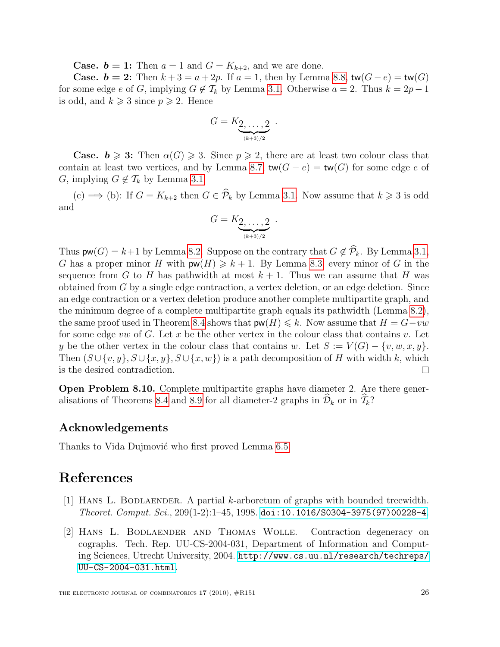**Case.**  $b = 1$ : Then  $a = 1$  and  $G = K_{k+2}$ , and we are done.

**Case.**  $b = 2$ : Then  $k + 3 = a + 2p$ . If  $a = 1$ , then by Lemma [8.8,](#page-23-1)  $tw(G - e) = tw(G)$ for some edge e of G, implying  $G \notin \mathcal{T}_k$  by Lemma [3.1.](#page-6-2) Otherwise  $a = 2$ . Thus  $k = 2p - 1$ is odd, and  $k \geqslant 3$  since  $p \geqslant 2$ . Hence

$$
G=K_{\underbrace{2,\ldots,2}_{(k+3)/2}}.
$$

**Case.**  $\mathbf{b} \geqslant 3$ : Then  $\alpha(G) \geqslant 3$ . Since  $p \geqslant 2$ , there are at least two colour class that contain at least two vertices, and by Lemma [8.7,](#page-23-2)  $tw(G - e) = tw(G)$  for some edge e of G, implying  $G \notin \mathcal{T}_k$  by Lemma [3.1.](#page-6-2)

(c)  $\implies$  (b): If  $G = K_{k+2}$  then  $G \in \widehat{\mathcal{P}}_k$  by Lemma [3.1.](#page-6-2) Now assume that  $k \geq 3$  is odd and

$$
G=K_{\underbrace{2,\ldots,2}_{(k+3)/2}}.
$$

Thus  $\mathsf{pw}(G) = k+1$  by Lemma [8.2.](#page-20-0) Suppose on the contrary that  $G \notin \widehat{\mathcal{P}}_k$ . By Lemma [3.1,](#page-6-2) G has a proper minor H with  $\mathsf{pw}(H) \geq k+1$ . By Lemma [8.3,](#page-20-1) every minor of G in the sequence from G to H has pathwidth at most  $k + 1$ . Thus we can assume that H was obtained from G by a single edge contraction, a vertex deletion, or an edge deletion. Since an edge contraction or a vertex deletion produce another complete multipartite graph, and the minimum degree of a complete multipartite graph equals its pathwidth (Lemma [8.2\)](#page-20-0), the same proof used in Theorem [8.4](#page-21-0) shows that  $\mathsf{pw}(H) \leq k$ . Now assume that  $H = G-vw$ for some edge vw of G. Let x be the other vertex in the colour class that contains v. Let y be the other vertex in the colour class that contains w. Let  $S := V(G) - \{v, w, x, y\}.$ Then  $(S \cup \{v, y\}, S \cup \{x, y\}, S \cup \{x, w\})$  is a path decomposition of H with width k, which is the desired contradiction.  $\mathbf{L}$ 

Open Problem 8.10. Complete multipartite graphs have diameter 2. Are there gener-alisations of Theorems [8.4](#page-21-0) and [8.9](#page-24-0) for all diameter-2 graphs in  $\widehat{\mathcal{D}}_k$  or in  $\widehat{\mathcal{T}}_k$ ?

#### Acknowledgements

Thanks to Vida Dujmović who first proved Lemma [6.5.](#page-12-3)

#### References

- <span id="page-25-1"></span>[1] Hans L. Bodlaender. A partial k-arboretum of graphs with bounded treewidth.  $Theoret. Comput. Sci., 209(1-2):1-45, 1998. doi:10.1016/S0304-3975(97)00228-4.$  $Theoret. Comput. Sci., 209(1-2):1-45, 1998. doi:10.1016/S0304-3975(97)00228-4.$  $Theoret. Comput. Sci., 209(1-2):1-45, 1998. doi:10.1016/S0304-3975(97)00228-4.$
- <span id="page-25-0"></span>[2] Hans L. Bodlaender and Thomas Wolle. Contraction degeneracy on cographs. Tech. Rep. UU-CS-2004-031, Department of Information and Computing Sciences, Utrecht University, 2004. [http://www.cs.uu.nl/research/techreps/](http://www.cs.uu.nl/research/techreps/UU-CS-2004-031.html) [UU-CS-2004-031.html](http://www.cs.uu.nl/research/techreps/UU-CS-2004-031.html).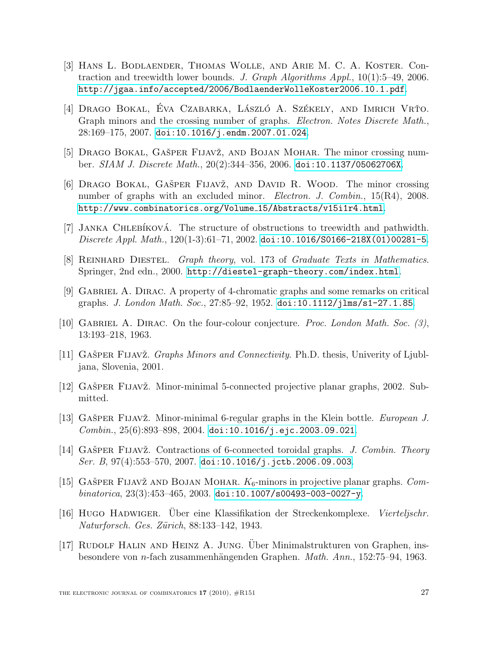- <span id="page-26-0"></span>[3] Hans L. Bodlaender, Thomas Wolle, and Arie M. C. A. Koster. Contraction and treewidth lower bounds. J. Graph Algorithms Appl.,  $10(1)$ :5–49, 2006. <http://jgaa.info/accepted/2006/BodlaenderWolleKoster2006.10.1.pdf>.
- <span id="page-26-6"></span>[4] DRAGO BOKAL, EVA CZABARKA, LÁSZLÓ A. SZÉKELY, AND IMRICH VRŤO. Graph minors and the crossing number of graphs. Electron. Notes Discrete Math.,  $28:169-175$ ,  $2007$ . [doi:10.1016/j.endm.2007.01.024](http://dx.doi.org/10.1016/j.endm.2007.01.024).
- <span id="page-26-7"></span>[5] DRAGO BOKAL, GAŠPER FIJAVŽ, AND BOJAN MOHAR. The minor crossing number. SIAM J. Discrete Math., 20(2):344–356, 2006. [doi:10.1137/05062706X](http://dx.doi.org/10.1137/05062706X).
- <span id="page-26-8"></span>[6] DRAGO BOKAL, GAŠPER FIJAVŽ, AND DAVID R. WOOD. The minor crossing number of graphs with an excluded minor. *Electron. J. Combin.*, 15(R4), 2008. [http://www.combinatorics.org/Volume](http://www.combinatorics.org/Volume_15/Abstracts/v15i1r4.html) 15/Abstracts/v15i1r4.html.
- <span id="page-26-14"></span>[7] JANKA CHLEBÍKOVÁ. The structure of obstructions to treewidth and pathwidth. Discrete Appl. Math.,  $120(1-3):61-71$ ,  $2002$ . [doi:10.1016/S0166-218X\(01\)00281-5](http://dx.doi.org/10.1016/S0166-218X(01)00281-5).
- <span id="page-26-5"></span>[8] Reinhard Diestel. Graph theory, vol. 173 of Graduate Texts in Mathematics. Springer, 2nd edn., 2000. <http://diestel-graph-theory.com/index.html>.
- <span id="page-26-1"></span>[9] Gabriel A. Dirac. A property of 4-chromatic graphs and some remarks on critical graphs. *J. London Math. Soc.*, 27:85–92, 1952. [doi:10.1112/jlms/s1-27.1.85](http://dx.doi.org/10.1112/jlms/s1-27.1.85).
- <span id="page-26-9"></span>[10] GABRIEL A. DIRAC. On the four-colour conjecture. *Proc. London Math. Soc.* (3), 13:193–218, 1963.
- <span id="page-26-4"></span>[11] GAŠPER FIJAVŽ. Graphs Minors and Connectivity. Ph.D. thesis, Univerity of Ljubljana, Slovenia, 2001.
- <span id="page-26-10"></span>[12] GAŠPER FIJAVŽ. Minor-minimal 5-connected projective planar graphs, 2002. Submitted.
- <span id="page-26-12"></span>[13] GAŠPER FIJAVŽ. Minor-minimal 6-regular graphs in the Klein bottle. *European J.*  $Combin., 25(6):893-898, 2004.$  [doi:10.1016/j.ejc.2003.09.021](http://dx.doi.org/10.1016/j.ejc.2003.09.021).
- <span id="page-26-11"></span>[14] GAŠPER FIJAVŽ. Contractions of 6-connected toroidal graphs. J. Combin. Theory Ser. B,  $97(4):553-570$ ,  $2007$ . [doi:10.1016/j.jctb.2006.09.003](http://dx.doi.org/10.1016/j.jctb.2006.09.003).
- <span id="page-26-13"></span>[15] GAŠPER FIJAVŽ AND BOJAN MOHAR.  $K_6$ -minors in projective planar graphs. Combinatorica, 23(3):453-465, 2003. [doi:10.1007/s00493-003-0027-y](http://dx.doi.org/10.1007/s00493-003-0027-y).
- <span id="page-26-2"></span>[16] HUGO HADWIGER. Über eine Klassifikation der Streckenkomplexe. Vierteljschr. Naturforsch. Ges. Zürich, 88:133-142, 1943.
- <span id="page-26-3"></span>[17] Rudolf Halin and Heinz A. Jung. Uber Minimalstrukturen von Graphen, ins- ¨ besondere von *n*-fach zusammenhängenden Graphen. *Math. Ann.*, 152:75–94, 1963.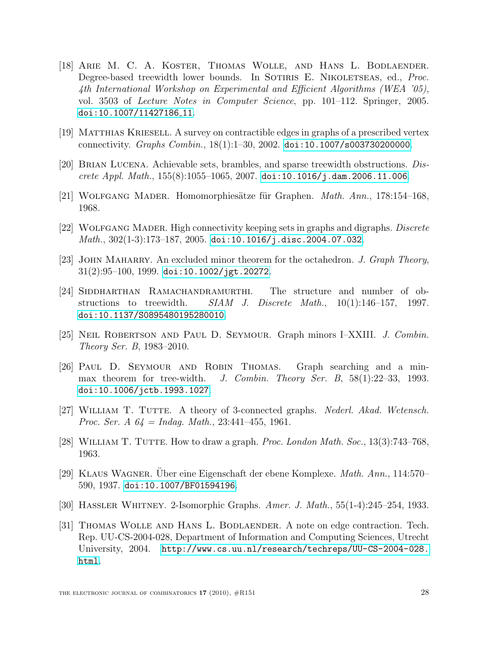- <span id="page-27-1"></span>[18] Arie M. C. A. Koster, Thomas Wolle, and Hans L. Bodlaender. Degree-based treewidth lower bounds. In SOTIRIS E. NIKOLETSEAS, ed., *Proc.* 4th International Workshop on Experimental and Efficient Algorithms (WEA '05), vol. 3503 of *Lecture Notes in Computer Science*, pp. 101–112. Springer, 2005. [doi:10.1007/11427186](http://dx.doi.org/10.1007/11427186_11) 11.
- <span id="page-27-6"></span>[19] Matthias Kriesell. A survey on contractible edges in graphs of a prescribed vertex connectivity. Graphs Combin., 18(1):1–30, 2002. [doi:10.1007/s003730200000](http://dx.doi.org/10.1007/s003730200000).
- <span id="page-27-8"></span>[20] Brian Lucena. Achievable sets, brambles, and sparse treewidth obstructions. Discrete Appl. Math.,  $155(8)$ :1055-1065, 2007. [doi:10.1016/j.dam.2006.11.006](http://dx.doi.org/10.1016/j.dam.2006.11.006).
- <span id="page-27-4"></span>[21] WOLFGANG MADER. Homomorphiesätze für Graphen. *Math. Ann.*, 178:154–168, 1968.
- <span id="page-27-7"></span>[22] Wolfgang Mader. High connectivity keeping sets in graphs and digraphs. Discrete  $Math., 302(1-3):173-187, 2005.$  [doi:10.1016/j.disc.2004.07.032](http://dx.doi.org/10.1016/j.disc.2004.07.032).
- <span id="page-27-5"></span>[23] JOHN MAHARRY. An excluded minor theorem for the octahedron. J. Graph Theory,  $31(2):95-100, 1999.$  [doi:10.1002/jgt.20272](http://dx.doi.org/10.1002/jgt.20272).
- <span id="page-27-9"></span>[24] SIDDHARTHAN RAMACHANDRAMURTHI. The structure and number of obstructions to treewidth.  $SIAM$  J. Discrete Math.,  $10(1):146-157$ , 1997. [doi:10.1137/S0895480195280010](http://dx.doi.org/10.1137/S0895480195280010).
- <span id="page-27-0"></span>[25] Neil Robertson and Paul D. Seymour. Graph minors I–XXIII. J. Combin. Theory Ser. B, 1983–2010.
- <span id="page-27-10"></span>[26] Paul D. Seymour and Robin Thomas. Graph searching and a minmax theorem for tree-width. J. Combin. Theory Ser. B, 58(1):22–33, 1993. [doi:10.1006/jctb.1993.1027](http://dx.doi.org/10.1006/jctb.1993.1027).
- <span id="page-27-3"></span>[27] William T. Tutte. A theory of 3-connected graphs. Nederl. Akad. Wetensch. *Proc. Ser. A*  $64 = Indag$ . *Math.*, 23:441-455, 1961.
- <span id="page-27-13"></span>[28] William T. Tutte. How to draw a graph. Proc. London Math. Soc., 13(3):743–768, 1963.
- <span id="page-27-11"></span>[29] KLAUS WAGNER. Über eine Eigenschaft der ebene Komplexe. Math. Ann., 114:570– 590, 1937. [doi:10.1007/BF01594196](http://dx.doi.org/10.1007/BF01594196).
- <span id="page-27-12"></span>[30] Hassler Whitney. 2-Isomorphic Graphs. Amer. J. Math., 55(1-4):245–254, 1933.
- <span id="page-27-2"></span>[31] THOMAS WOLLE AND HANS L. BODLAENDER. A note on edge contraction. Tech. Rep. UU-CS-2004-028, Department of Information and Computing Sciences, Utrecht University, 2004. [http://www.cs.uu.nl/research/techreps/UU-CS-2004-028.](http://www.cs.uu.nl/research/techreps/UU-CS-2004-028.html) [html](http://www.cs.uu.nl/research/techreps/UU-CS-2004-028.html).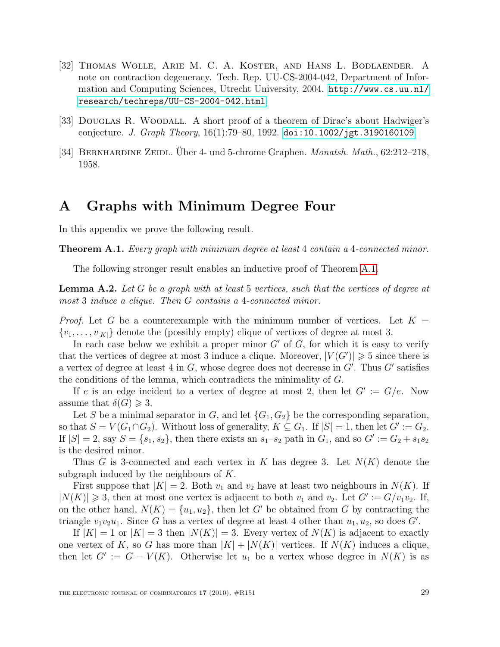- <span id="page-28-0"></span>[32] Thomas Wolle, Arie M. C. A. Koster, and Hans L. Bodlaender. A note on contraction degeneracy. Tech. Rep. UU-CS-2004-042, Department of Information and Computing Sciences, Utrecht University, 2004. [http://www.cs.uu.nl/](http://www.cs.uu.nl/research/techreps/UU-CS-2004-042.html) [research/techreps/UU-CS-2004-042.html](http://www.cs.uu.nl/research/techreps/UU-CS-2004-042.html).
- <span id="page-28-1"></span>[33] DOUGLAS R. WOODALL. A short proof of a theorem of Dirac's about Hadwiger's conjecture. J. Graph Theory,  $16(1)$ :79–80, 1992. [doi:10.1002/jgt.3190160109](http://dx.doi.org/10.1002/jgt.3190160109).
- <span id="page-28-2"></span>[34] BERNHARDINE ZEIDL. Uber 4- und 5-chrome Graphen. Monatsh. Math., 62:212–218, 1958.

#### <span id="page-28-3"></span>A Graphs with Minimum Degree Four

<span id="page-28-4"></span>In this appendix we prove the following result.

**Theorem A.1.** Every graph with minimum degree at least 4 contain a 4-connected minor.

The following stronger result enables an inductive proof of Theorem [A.1.](#page-28-4)

**Lemma A.2.** Let G be a graph with at least 5 vertices, such that the vertices of degree at most 3 induce a clique. Then G contains a 4-connected minor.

*Proof.* Let G be a counterexample with the minimum number of vertices. Let  $K =$  $\{v_1, \ldots, v_{|K|}\}\$  denote the (possibly empty) clique of vertices of degree at most 3.

In each case below we exhibit a proper minor  $G'$  of G, for which it is easy to verify that the vertices of degree at most 3 induce a clique. Moreover,  $|V(G')| \geq 5$  since there is a vertex of degree at least 4 in  $G$ , whose degree does not decrease in  $G'$ . Thus  $G'$  satisfies the conditions of the lemma, which contradicts the minimality of G.

If e is an edge incident to a vertex of degree at most 2, then let  $G' := G/e$ . Now assume that  $\delta(G) \geqslant 3$ .

Let S be a minimal separator in G, and let  $\{G_1, G_2\}$  be the corresponding separation, so that  $S = V(G_1 \cap G_2)$ . Without loss of generality,  $K \subseteq G_1$ . If  $|S| = 1$ , then let  $G' := G_2$ . If  $|S| = 2$ , say  $S = \{s_1, s_2\}$ , then there exists an  $s_1-s_2$  path in  $G_1$ , and so  $G' := G_2 + s_1s_2$ is the desired minor.

Thus G is 3-connected and each vertex in K has degree 3. Let  $N(K)$  denote the subgraph induced by the neighbours of  $K$ .

First suppose that  $|K| = 2$ . Both  $v_1$  and  $v_2$  have at least two neighbours in  $N(K)$ . If  $|N(K)| \geq 3$ , then at most one vertex is adjacent to both  $v_1$  and  $v_2$ . Let  $G' := G/v_1v_2$ . If, on the other hand,  $N(K) = \{u_1, u_2\}$ , then let G' be obtained from G by contracting the triangle  $v_1v_2u_1$ . Since G has a vertex of degree at least 4 other than  $u_1, u_2$ , so does G'.

If  $|K| = 1$  or  $|K| = 3$  then  $|N(K)| = 3$ . Every vertex of  $N(K)$  is adjacent to exactly one vertex of K, so G has more than  $|K| + |N(K)|$  vertices. If  $N(K)$  induces a clique, then let  $G' := G - V(K)$ . Otherwise let  $u_1$  be a vertex whose degree in  $N(K)$  is as